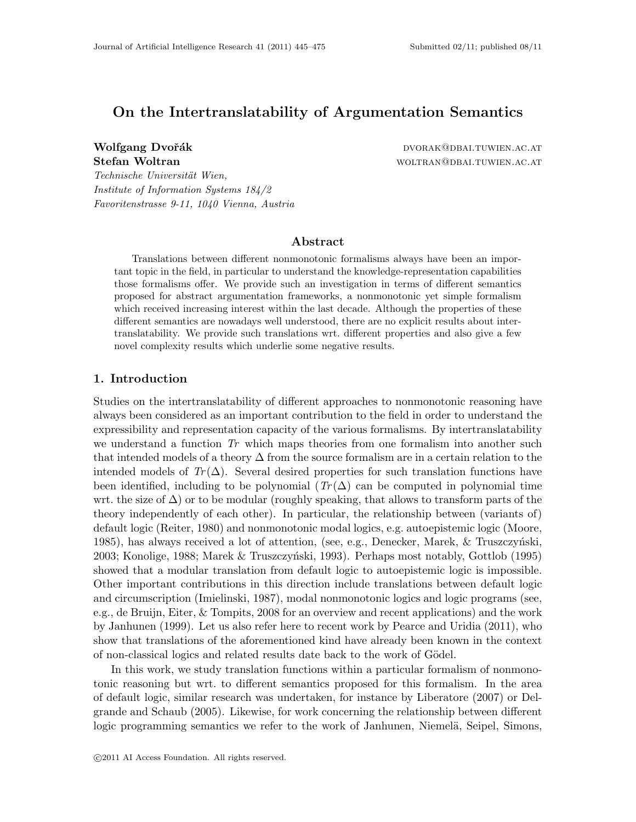# On the Intertranslatability of Argumentation Semantics

*Technische Universit¨at Wien, Institute of Information Systems 184/2 Favoritenstrasse 9-11, 1040 Vienna, Austria*

Wolfgang Dvořák dvorak dvorak dvorak dvorak dvorak dvorak. Nestav by Dvorak do Bai. Tuwien.ac.at Stefan Woltran **Workhouth Wolffeld** WOLTRAN WOLTRAN CATE WOLTRAN AC.AT

### Abstract

Translations between different nonmonotonic formalisms always have been an important topic in the field, in particular to understand the knowledge-representation capabilities those formalisms offer. We provide such an investigation in terms of different semantics proposed for abstract argumentation frameworks, a nonmonotonic yet simple formalism which received increasing interest within the last decade. Although the properties of these different semantics are nowadays well understood, there are no explicit results about intertranslatability. We provide such translations wrt. different properties and also give a few novel complexity results which underlie some negative results.

## 1. Introduction

Studies on the intertranslatability of different approaches to nonmonotonic reasoning have always been considered as an important contribution to the field in order to understand the expressibility and representation capacity of the various formalisms. By intertranslatability we understand a function *Tr* which maps theories from one formalism into another such that intended models of a theory  $\Delta$  from the source formalism are in a certain relation to the intended models of  $Tr(\Delta)$ . Several desired properties for such translation functions have been identified, including to be polynomial  $(Tr(\Delta))$  can be computed in polynomial time wrt. the size of  $\Delta$ ) or to be modular (roughly speaking, that allows to transform parts of the theory independently of each other). In particular, the relationship between (variants of) default logic (Reiter, 1980) and nonmonotonic modal logics, e.g. autoepistemic logic (Moore, 1985), has always received a lot of attention, (see, e.g., Denecker, Marek,  $\&$  Truszczyński, 2003; Konolige, 1988; Marek & Truszczyński, 1993). Perhaps most notably, Gottlob (1995) showed that a modular translation from default logic to autoepistemic logic is impossible. Other important contributions in this direction include translations between default logic and circumscription (Imielinski, 1987), modal nonmonotonic logics and logic programs (see, e.g., de Bruijn, Eiter, & Tompits, 2008 for an overview and recent applications) and the work by Janhunen (1999). Let us also refer here to recent work by Pearce and Uridia (2011), who show that translations of the aforementioned kind have already been known in the context of non-classical logics and related results date back to the work of Gödel.

In this work, we study translation functions within a particular formalism of nonmonotonic reasoning but wrt. to different semantics proposed for this formalism. In the area of default logic, similar research was undertaken, for instance by Liberatore (2007) or Delgrande and Schaub (2005). Likewise, for work concerning the relationship between different logic programming semantics we refer to the work of Janhunen, Niemelä, Seipel, Simons,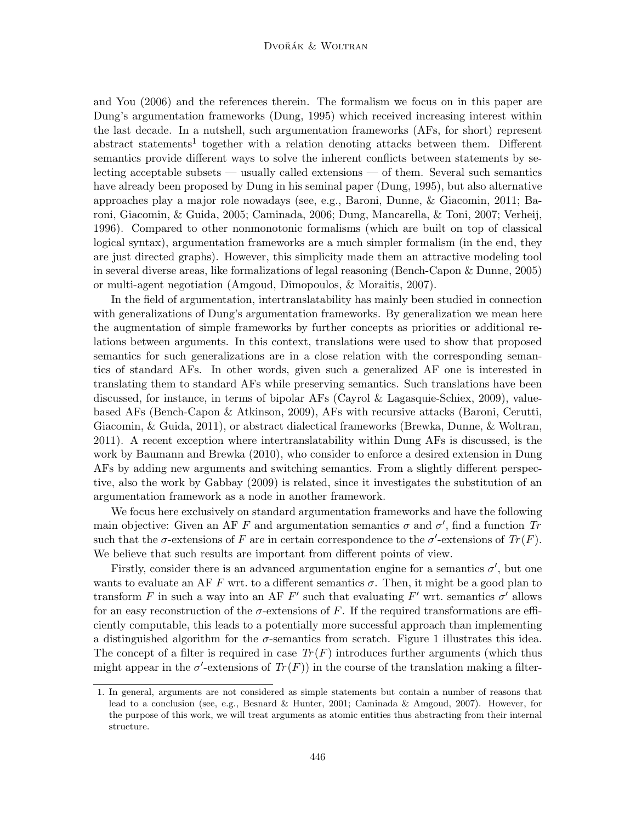#### Dvořák & Woltran

and You (2006) and the references therein. The formalism we focus on in this paper are Dung's argumentation frameworks (Dung, 1995) which received increasing interest within the last decade. In a nutshell, such argumentation frameworks (AFs, for short) represent abstract statements<sup>1</sup> together with a relation denoting attacks between them. Different semantics provide different ways to solve the inherent conflicts between statements by selecting acceptable subsets — usually called extensions — of them. Several such semantics have already been proposed by Dung in his seminal paper (Dung, 1995), but also alternative approaches play a major role nowadays (see, e.g., Baroni, Dunne, & Giacomin, 2011; Baroni, Giacomin, & Guida, 2005; Caminada, 2006; Dung, Mancarella, & Toni, 2007; Verheij, 1996). Compared to other nonmonotonic formalisms (which are built on top of classical logical syntax), argumentation frameworks are a much simpler formalism (in the end, they are just directed graphs). However, this simplicity made them an attractive modeling tool in several diverse areas, like formalizations of legal reasoning (Bench-Capon & Dunne, 2005) or multi-agent negotiation (Amgoud, Dimopoulos, & Moraitis, 2007).

In the field of argumentation, intertranslatability has mainly been studied in connection with generalizations of Dung's argumentation frameworks. By generalization we mean here the augmentation of simple frameworks by further concepts as priorities or additional relations between arguments. In this context, translations were used to show that proposed semantics for such generalizations are in a close relation with the corresponding semantics of standard AFs. In other words, given such a generalized AF one is interested in translating them to standard AFs while preserving semantics. Such translations have been discussed, for instance, in terms of bipolar AFs (Cayrol & Lagasquie-Schiex, 2009), valuebased AFs (Bench-Capon & Atkinson, 2009), AFs with recursive attacks (Baroni, Cerutti, Giacomin, & Guida, 2011), or abstract dialectical frameworks (Brewka, Dunne, & Woltran, 2011). A recent exception where intertranslatability within Dung AFs is discussed, is the work by Baumann and Brewka (2010), who consider to enforce a desired extension in Dung AFs by adding new arguments and switching semantics. From a slightly different perspective, also the work by Gabbay (2009) is related, since it investigates the substitution of an argumentation framework as a node in another framework.

We focus here exclusively on standard argumentation frameworks and have the following main objective: Given an AF F and argumentation semantics  $\sigma$  and  $\sigma'$ , find a function Tr such that the  $\sigma$ -extensions of F are in certain correspondence to the  $\sigma'$ -extensions of  $Tr(F)$ . We believe that such results are important from different points of view.

Firstly, consider there is an advanced argumentation engine for a semantics  $\sigma'$ , but one wants to evaluate an AF F wrt. to a different semantics  $\sigma$ . Then, it might be a good plan to transform F in such a way into an AF F' such that evaluating F' wrt. semantics  $\sigma'$  allows for an easy reconstruction of the  $\sigma$ -extensions of F. If the required transformations are efficiently computable, this leads to a potentially more successful approach than implementing a distinguished algorithm for the  $\sigma$ -semantics from scratch. Figure 1 illustrates this idea. The concept of a filter is required in case  $Tr(F)$  introduces further arguments (which thus might appear in the  $\sigma'$ -extensions of  $Tr(F)$  in the course of the translation making a filter-

<sup>1.</sup> In general, arguments are not considered as simple statements but contain a number of reasons that lead to a conclusion (see, e.g., Besnard & Hunter, 2001; Caminada & Amgoud, 2007). However, for the purpose of this work, we will treat arguments as atomic entities thus abstracting from their internal structure.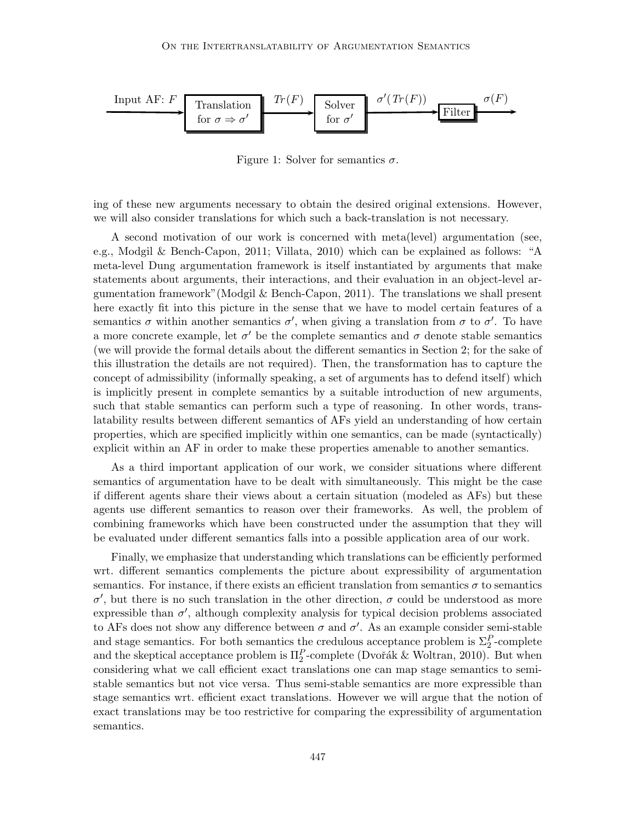

Figure 1: Solver for semantics  $\sigma$ .

ing of these new arguments necessary to obtain the desired original extensions. However, we will also consider translations for which such a back-translation is not necessary.

A second motivation of our work is concerned with meta(level) argumentation (see, e.g., Modgil & Bench-Capon, 2011; Villata, 2010) which can be explained as follows: "A meta-level Dung argumentation framework is itself instantiated by arguments that make statements about arguments, their interactions, and their evaluation in an object-level argumentation framework"(Modgil & Bench-Capon, 2011). The translations we shall present here exactly fit into this picture in the sense that we have to model certain features of a semantics  $\sigma$  within another semantics  $\sigma'$ , when giving a translation from  $\sigma$  to  $\sigma'$ . To have a more concrete example, let  $\sigma'$  be the complete semantics and  $\sigma$  denote stable semantics (we will provide the formal details about the different semantics in Section 2; for the sake of this illustration the details are not required). Then, the transformation has to capture the concept of admissibility (informally speaking, a set of arguments has to defend itself) which is implicitly present in complete semantics by a suitable introduction of new arguments, such that stable semantics can perform such a type of reasoning. In other words, translatability results between different semantics of AFs yield an understanding of how certain properties, which are specified implicitly within one semantics, can be made (syntactically) explicit within an AF in order to make these properties amenable to another semantics.

As a third important application of our work, we consider situations where different semantics of argumentation have to be dealt with simultaneously. This might be the case if different agents share their views about a certain situation (modeled as AFs) but these agents use different semantics to reason over their frameworks. As well, the problem of combining frameworks which have been constructed under the assumption that they will be evaluated under different semantics falls into a possible application area of our work.

Finally, we emphasize that understanding which translations can be efficiently performed wrt. different semantics complements the picture about expressibility of argumentation semantics. For instance, if there exists an efficient translation from semantics  $\sigma$  to semantics σ', but there is no such translation in the other direction, σ could be understood as more expressible than  $\sigma'$ , although complexity analysis for typical decision problems associated to AFs does not show any difference between  $\sigma$  and  $\sigma'$ . As an example consider semi-stable and stage semantics. For both semantics the credulous acceptance problem is  $\Sigma_2^P$ -complete and the skeptical acceptance problem is  $\Pi_2^P$ -complete (Dvořák & Woltran, 2010). But when considering what we call efficient exact translations one can map stage semantics to semistable semantics but not vice versa. Thus semi-stable semantics are more expressible than stage semantics wrt. efficient exact translations. However we will argue that the notion of exact translations may be too restrictive for comparing the expressibility of argumentation semantics.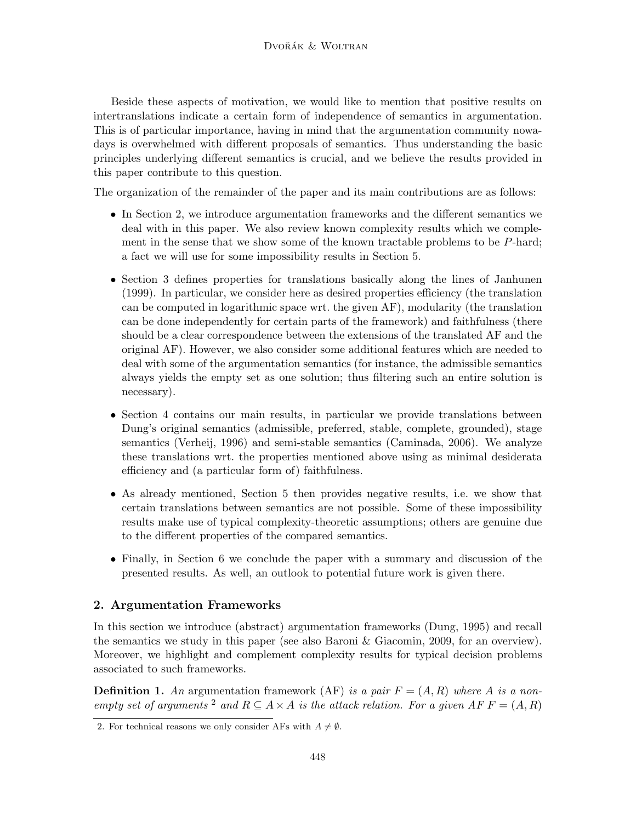Beside these aspects of motivation, we would like to mention that positive results on intertranslations indicate a certain form of independence of semantics in argumentation. This is of particular importance, having in mind that the argumentation community nowadays is overwhelmed with different proposals of semantics. Thus understanding the basic principles underlying different semantics is crucial, and we believe the results provided in this paper contribute to this question.

The organization of the remainder of the paper and its main contributions are as follows:

- In Section 2, we introduce argumentation frameworks and the different semantics we deal with in this paper. We also review known complexity results which we complement in the sense that we show some of the known tractable problems to be  $P$ -hard; a fact we will use for some impossibility results in Section 5.
- Section 3 defines properties for translations basically along the lines of Janhunen (1999). In particular, we consider here as desired properties efficiency (the translation can be computed in logarithmic space wrt. the given AF), modularity (the translation can be done independently for certain parts of the framework) and faithfulness (there should be a clear correspondence between the extensions of the translated AF and the original AF). However, we also consider some additional features which are needed to deal with some of the argumentation semantics (for instance, the admissible semantics always yields the empty set as one solution; thus filtering such an entire solution is necessary).
- Section 4 contains our main results, in particular we provide translations between Dung's original semantics (admissible, preferred, stable, complete, grounded), stage semantics (Verheij, 1996) and semi-stable semantics (Caminada, 2006). We analyze these translations wrt. the properties mentioned above using as minimal desiderata efficiency and (a particular form of) faithfulness.
- As already mentioned, Section 5 then provides negative results, i.e. we show that certain translations between semantics are not possible. Some of these impossibility results make use of typical complexity-theoretic assumptions; others are genuine due to the different properties of the compared semantics.
- Finally, in Section 6 we conclude the paper with a summary and discussion of the presented results. As well, an outlook to potential future work is given there.

## 2. Argumentation Frameworks

In this section we introduce (abstract) argumentation frameworks (Dung, 1995) and recall the semantics we study in this paper (see also Baroni & Giacomin, 2009, for an overview). Moreover, we highlight and complement complexity results for typical decision problems associated to such frameworks.

**Definition 1.** An argumentation framework (AF) *is a pair*  $F = (A, R)$  where A *is a nonempty set of arguments* <sup>2</sup> *and*  $R \subseteq A \times A$  *is the attack relation. For a given*  $AF F = (A, R)$ 

<sup>2.</sup> For technical reasons we only consider AFs with  $A \neq \emptyset$ .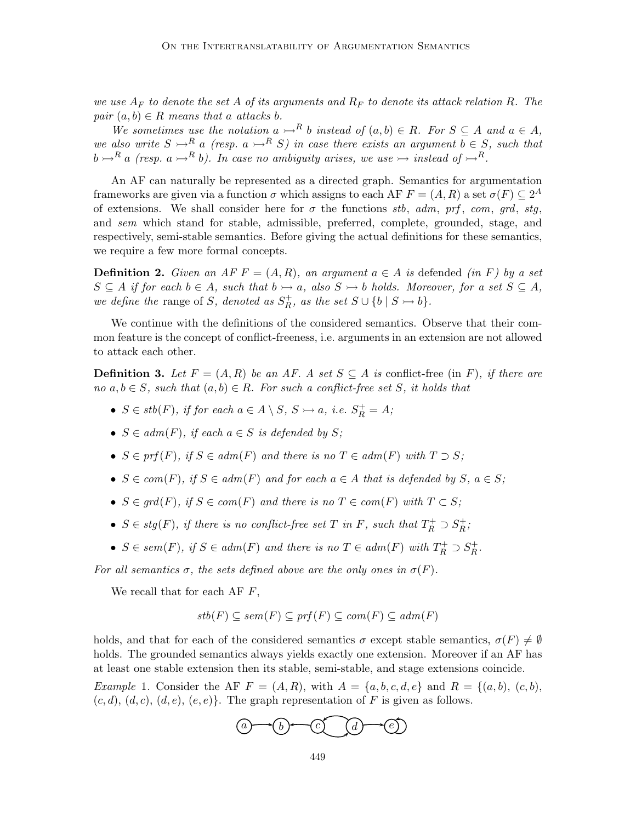*we use*  $A_F$  *to denote the set* A *of its arguments and*  $R_F$  *to denote its attack relation* R. The *pair*  $(a, b) \in R$  *means that* a *attacks* b.

*We sometimes use the notation*  $a \rightarrow^R b$  *instead of*  $(a, b) \in R$ *. For*  $S \subseteq A$  *and*  $a \in A$ *, we also write*  $S \rightarrow^R a$  *(resp.*  $a \rightarrow^R S$ *) in case there exists an argument*  $b \in S$ *, such that*  $b \rightarrow R$  a *(resp.* a  $\rightarrow R$  b). In case no ambiguity arises, we use  $\rightarrow$  instead of  $\rightarrow R$ .

An AF can naturally be represented as a directed graph. Semantics for argumentation frameworks are given via a function  $\sigma$  which assigns to each AF  $F = (A, R)$  a set  $\sigma(F) \subseteq 2^A$ of extensions. We shall consider here for  $\sigma$  the functions *stb*, *adm*, *prf*, *com*, *grd*, *stg*, and *sem* which stand for stable, admissible, preferred, complete, grounded, stage, and respectively, semi-stable semantics. Before giving the actual definitions for these semantics, we require a few more formal concepts.

**Definition 2.** Given an AF  $F = (A, R)$ , an argument  $a \in A$  is defended *(in* F) by a set  $S \subseteq A$  *if for each*  $b \in A$ *, such that*  $b \rightarrow a$ *, also*  $S \rightarrow b$  *holds. Moreover, for a set*  $S \subseteq A$ *, we define the* range of S, denoted as  $S_R^+$ , as the set  $S \cup \{b \mid S \rightarrow b\}$ .

We continue with the definitions of the considered semantics. Observe that their common feature is the concept of conflict-freeness, i.e. arguments in an extension are not allowed to attack each other.

**Definition 3.** Let  $F = (A, R)$  be an AF. A set  $S \subseteq A$  is conflict-free (in F), if there are *no*  $a, b \in S$ *, such that*  $(a, b) \in R$ *. For such a conflict-free set* S, it holds that

- $S \in stb(F)$ , if for each  $a \in A \setminus S$ ,  $S \rightarrowtail a$ , i.e.  $S_R^+ = A$ ;
- $S \in adm(F)$ , if each  $a \in S$  is defended by S;
- $S \in prf(F)$ *, if*  $S \in adm(F)$  *and there is no*  $T \in adm(F)$  *with*  $T \supset S$ *;*
- $S \in com(F)$ , if  $S \in adm(F)$  and for each  $a \in A$  that is defended by  $S, a \in S$ ;
- $S \in \text{grd}(F)$ , if  $S \in \text{com}(F)$  and there is no  $T \in \text{com}(F)$  with  $T \subset S$ ;
- $S \in stg(F)$ , if there is no conflict-free set T in F, such that  $T_R^+ \supset S_R^+$ ;
- $S \in sem(F)$ , if  $S \in adm(F)$  and there is no  $T \in adm(F)$  with  $T_R^+ \supset S_R^+$ .

*For all semantics*  $\sigma$ *, the sets defined above are the only ones in*  $\sigma(F)$ *.* 

We recall that for each AF  $F$ ,

$$
stb(F) \subseteq sem(F) \subseteq prf(F) \subseteq com(F) \subseteq adm(F)
$$

holds, and that for each of the considered semantics  $\sigma$  except stable semantics,  $\sigma(F) \neq \emptyset$ holds. The grounded semantics always yields exactly one extension. Moreover if an AF has at least one stable extension then its stable, semi-stable, and stage extensions coincide.

*Example* 1. Consider the AF  $F = (A, R)$ , with  $A = \{a, b, c, d, e\}$  and  $R = \{(a, b), (c, b),$  $(c, d), (d, c), (d, e), (e, e)$ . The graph representation of F is given as follows.

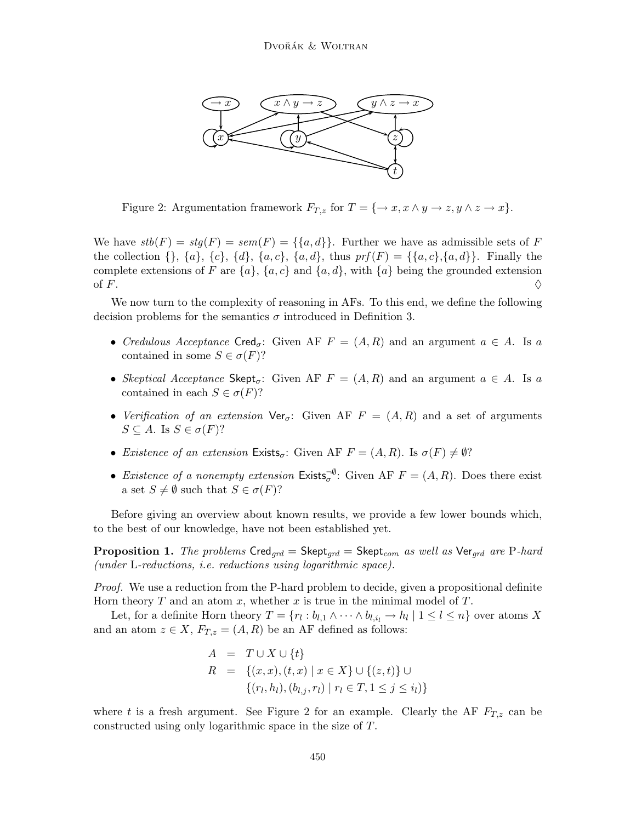

Figure 2: Argumentation framework  $F_{T,z}$  for  $T = \{\rightarrow x, x \land y \rightarrow z, y \land z \rightarrow x\}.$ 

We have  $stb(F) = stg(F) = sem(F) = {\{a,d\}}$ . Further we have as admissible sets of F the collection  $\{\}, \{a\}, \{c\}, \{d\}, \{a, c\}, \{a, d\}, \text{thus } prf(F) = \{\{a, c\}, \{a, d\}\}.$  Finally the complete extensions of F are  $\{a\}$ ,  $\{a, c\}$  and  $\{a, d\}$ , with  $\{a\}$  being the grounded extension of F.  $\Diamond$ 

We now turn to the complexity of reasoning in AFs. To this end, we define the following decision problems for the semantics  $\sigma$  introduced in Definition 3.

- *Credulous Acceptance*  $\text{Cred}_{\sigma}$ : Given AF  $F = (A, R)$  and an argument  $a \in A$ . Is a contained in some  $S \in \sigma(F)$ ?
- *Skeptical Acceptance* Skept<sub> $\sigma$ </sub>: Given AF  $F = (A, R)$  and an argument  $a \in A$ . Is a contained in each  $S \in \sigma(F)$ ?
- *Verification of an extension*  $\forall$ er<sub> $\sigma$ </sub>: Given AF  $F = (A, R)$  and a set of arguments  $S \subseteq A$ . Is  $S \in \sigma(F)$ ?
- *Existence of an extension* Exists<sub> $\sigma$ </sub>: Given AF  $F = (A, R)$ . Is  $\sigma(F) \neq \emptyset$ ?
- *Existence of a nonempty extension*  $\exists \sigma \in S$  Given AF  $F = (A, R)$ . Does there exist a set  $S \neq \emptyset$  such that  $S \in \sigma(F)$ ?

Before giving an overview about known results, we provide a few lower bounds which, to the best of our knowledge, have not been established yet.

**Proposition 1.** *The problems*  $\textsf{Cred}_{\textit{grd}} = \textsf{Skept}_{\textit{grd}}$  as well as  $\textsf{Ver}_{\textit{grd}}$  are P-hard *(under* L*-reductions, i.e. reductions using logarithmic space).*

*Proof.* We use a reduction from the P-hard problem to decide, given a propositional definite Horn theory  $T$  and an atom  $x$ , whether  $x$  is true in the minimal model of  $T$ .

Let, for a definite Horn theory  $T = \{r_l : b_{l,1} \wedge \cdots \wedge b_{l,i_l} \rightarrow h_l \mid 1 \leq l \leq n\}$  over atoms X and an atom  $z \in X$ ,  $F_{T,z} = (A, R)$  be an AF defined as follows:

$$
A = T \cup X \cup \{t\}
$$
  
\n
$$
R = \{(x, x), (t, x) \mid x \in X\} \cup \{(z, t)\} \cup \{(r_l, h_l), (b_{l,j}, r_l) \mid r_l \in T, 1 \le j \le i_l)\}
$$

where t is a fresh argument. See Figure 2 for an example. Clearly the AF  $F_{T,z}$  can be constructed using only logarithmic space in the size of T.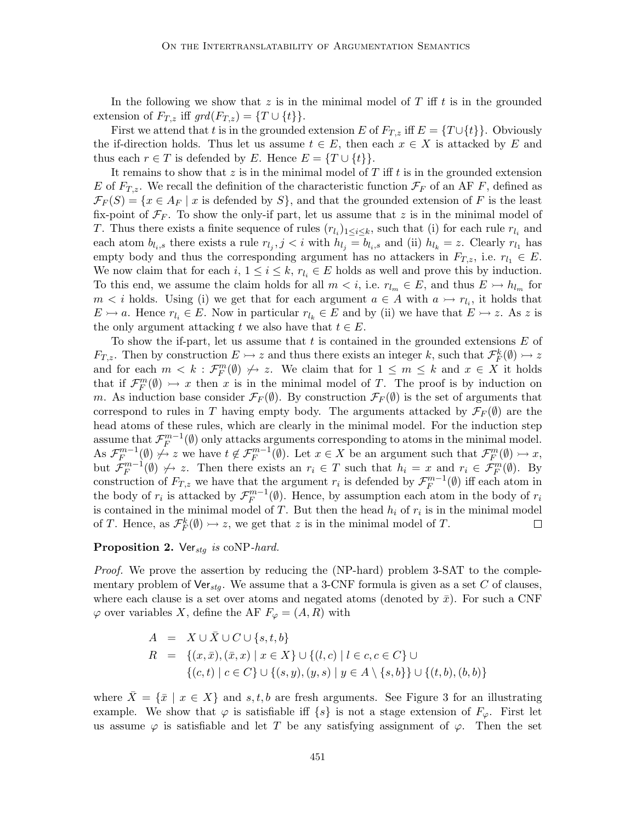In the following we show that z is in the minimal model of  $T$  iff  $t$  is in the grounded extension of  $F_{T,z}$  iff  $grd(F_{T,z}) = \{T \cup \{t\}\}.$ 

First we attend that t is in the grounded extension E of  $F_{T,z}$  iff  $E = \{T \cup \{t\}\}\.$  Obviously the if-direction holds. Thus let us assume  $t \in E$ , then each  $x \in X$  is attacked by E and thus each  $r \in T$  is defended by E. Hence  $E = \{T \cup \{t\}\}.$ 

It remains to show that  $z$  is in the minimal model of  $T$  iff  $t$  is in the grounded extension E of  $F_{T,z}$ . We recall the definition of the characteristic function  $\mathcal{F}_F$  of an AF F, defined as  $\mathcal{F}_F(S) = \{x \in A_F \mid x \text{ is defined by } S\}$ , and that the grounded extension of F is the least fix-point of  $\mathcal{F}_F$ . To show the only-if part, let us assume that z is in the minimal model of T. Thus there exists a finite sequence of rules  $(r_{l_i})_{1 \leq i \leq k}$ , such that (i) for each rule  $r_{l_i}$  and each atom  $b_{l_i,s}$  there exists a rule  $r_{l_j}, j < i$  with  $h_{l_j} = b_{l_i,s}$  and (ii)  $h_{l_k} = z$ . Clearly  $r_{l_1}$  has empty body and thus the corresponding argument has no attackers in  $F_{T,z}$ , i.e.  $r_{l_1} \in E$ . We now claim that for each  $i, 1 \leq i \leq k, r_{l_i} \in E$  holds as well and prove this by induction. To this end, we assume the claim holds for all  $m < i$ , i.e.  $r_{l_m} \in E$ , and thus  $E \rightarrow h_{l_m}$  for  $m < i$  holds. Using (i) we get that for each argument  $a \in A$  with  $a \rightarrow r_{l_i}$ , it holds that  $E \rightarrow a$ . Hence  $r_{l_i} \in E$ . Now in particular  $r_{l_k} \in E$  and by (ii) we have that  $E \rightarrow z$ . As z is the only argument attacking t we also have that  $t \in E$ .

To show the if-part, let us assume that  $t$  is contained in the grounded extensions  $E$  of  $F_{T,z}$ . Then by construction  $E \rightarrowtail z$  and thus there exists an integer k, such that  $\mathcal{F}_F^k(\emptyset) \rightarrowtail z$ and for each  $m < k$ :  $\mathcal{F}_F^m(\emptyset) \not\rightarrow z$ . We claim that for  $1 \leq m \leq k$  and  $x \in X$  it holds that if  $\mathcal{F}_F^m(\emptyset) \rightarrow x$  then x is in the minimal model of T. The proof is by induction on m. As induction base consider  $\mathcal{F}_F(\emptyset)$ . By construction  $\mathcal{F}_F(\emptyset)$  is the set of arguments that correspond to rules in T having empty body. The arguments attacked by  $\mathcal{F}_F(\emptyset)$  are the head atoms of these rules, which are clearly in the minimal model. For the induction step assume that  $\mathcal{F}_F^{m-1}(\emptyset)$  only attacks arguments corresponding to atoms in the minimal model. As  $\mathcal{F}_F^{m-1}(\emptyset) \neq z$  we have  $t \notin \mathcal{F}_F^{m-1}(\emptyset)$ . Let  $x \in X$  be an argument such that  $\mathcal{F}_F^m(\emptyset) \rightarrow x$ , but  $\mathcal{F}_F^{m-1}(\emptyset) \not\rightarrow z$ . Then there exists an  $r_i \in T$  such that  $h_i = x$  and  $r_i \in \mathcal{F}_F^m(\emptyset)$ . By construction of  $F_{T,z}$  we have that the argument  $r_i$  is defended by  $\mathcal{F}_F^{m-1}(\emptyset)$  iff each atom in the body of  $r_i$  is attacked by  $\mathcal{F}_F^{m-1}(\emptyset)$ . Hence, by assumption each atom in the body of  $r_i$ is contained in the minimal model of T. But then the head  $h_i$  of  $r_i$  is in the minimal model of T. Hence, as  $\mathcal{F}_F^k(\emptyset) \rightarrow z$ , we get that z is in the minimal model of T.  $\Box$ 

## Proposition 2. Ver<sub>stg</sub> is coNP-hard.

*Proof.* We prove the assertion by reducing the (NP-hard) problem 3-SAT to the complementary problem of  $\forall \mathbf{e}_{t_{stq}}$ . We assume that a 3-CNF formula is given as a set C of clauses, where each clause is a set over atoms and negated atoms (denoted by  $\bar{x}$ ). For such a CNF  $\varphi$  over variables X, define the AF  $F_{\varphi} = (A, R)$  with

$$
A = X \cup \overline{X} \cup C \cup \{s, t, b\}
$$
  
\n
$$
R = \{(x, \overline{x}), (\overline{x}, x) \mid x \in X\} \cup \{(l, c) \mid l \in c, c \in C\} \cup \{(c, t) \mid c \in C\} \cup \{(s, y), (y, s) \mid y \in A \setminus \{s, b\}\} \cup \{(t, b), (b, b)\}
$$

where  $\bar{X} = \{\bar{x} \mid x \in X\}$  and s, t, b are fresh arguments. See Figure 3 for an illustrating example. We show that  $\varphi$  is satisfiable iff  $\{s\}$  is not a stage extension of  $F_{\varphi}$ . First let us assume  $\varphi$  is satisfiable and let T be any satisfying assignment of  $\varphi$ . Then the set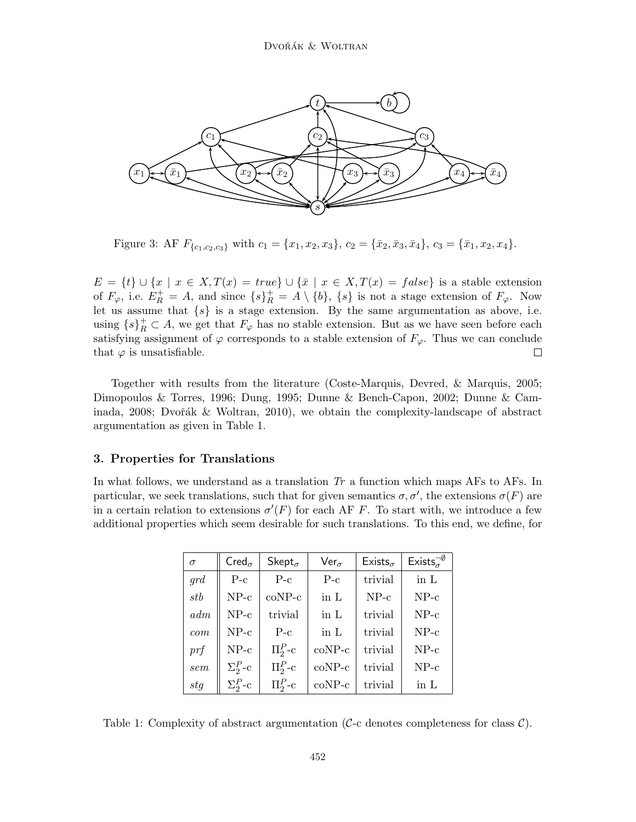

Figure 3: AF  $F_{\{c_1,c_2,c_3\}}$  with  $c_1 = \{x_1,x_2,x_3\}, c_2 = \{\bar{x}_2,\bar{x}_3,\bar{x}_4\}, c_3 = \{\bar{x}_1,x_2,x_4\}.$ 

 $E = \{t\} \cup \{x \mid x \in X, T(x) = true\} \cup \{\bar{x} \mid x \in X, T(x) = false\}$  is a stable extension of  $F_{\varphi}$ , i.e.  $E_R^+ = A$ , and since  $\{s\}_R^+ = A \setminus \{b\}$ ,  $\{s\}$  is not a stage extension of  $F_{\varphi}$ . Now let us assume that  $\{s\}$  is a stage extension. By the same argumentation as above, i.e. using  $\{s\}_R^+ \subset A$ , we get that  $F_{\varphi}$  has no stable extension. But as we have seen before each satisfying assignment of  $\varphi$  corresponds to a stable extension of  $F_{\varphi}$ . Thus we can conclude that  $\varphi$  is unsatisfiable.  $\Box$ 

Together with results from the literature (Coste-Marquis, Devred, & Marquis, 2005; Dimopoulos & Torres, 1996; Dung, 1995; Dunne & Bench-Capon, 2002; Dunne & Caminada,  $2008$ ; Dvořák & Woltran, 2010), we obtain the complexity-landscape of abstract argumentation as given in Table 1.

## 3. Properties for Translations

In what follows, we understand as a translation *Tr* a function which maps AFs to AFs. In particular, we seek translations, such that for given semantics  $\sigma, \sigma'$ , the extensions  $\sigma(F)$  are in a certain relation to extensions  $\sigma'(F)$  for each AF F. To start with, we introduce a few additional properties which seem desirable for such translations. To this end, we define, for

| $\sigma$ | $Cred_{\sigma}$ | Skept $_{\sigma}$ | $Ver_{\sigma}$ | Exists <sub><math>\sigma</math></sub> | Exists <sup>-0</sup> |
|----------|-----------------|-------------------|----------------|---------------------------------------|----------------------|
| grd      | $P-c$           | $P-c$             | $P-c$          | trivial                               | in $L$               |
| stb      | $NP-c$          | $coNP-c$          | in L           | $NP-c$                                | $NP-c$               |
| adm      | $NP-c$          | trivial           | in L           | trivial                               | $NP-c$               |
| com      | $NP-c$          | $P-c$             | in L           | trivial                               | $NP-c$               |
| prf      | $NP-c$          | $\Pi_2^P$ -c      | $coNP-c$       | trivial                               | $NP-c$               |
| sem      | $\Sigma^P_2$ -c | $\Pi_2^P$ -c      | $coNP-c$       | trivial                               | $NP-c$               |
| stg      | $\Sigma^P_2$ -c | $\Pi^P_2$ -c      | $coNP-c$       | trivial                               | in $L$               |

Table 1: Complexity of abstract argumentation ( $\mathcal{C}\text{-}c$  denotes completeness for class  $\mathcal{C}$ ).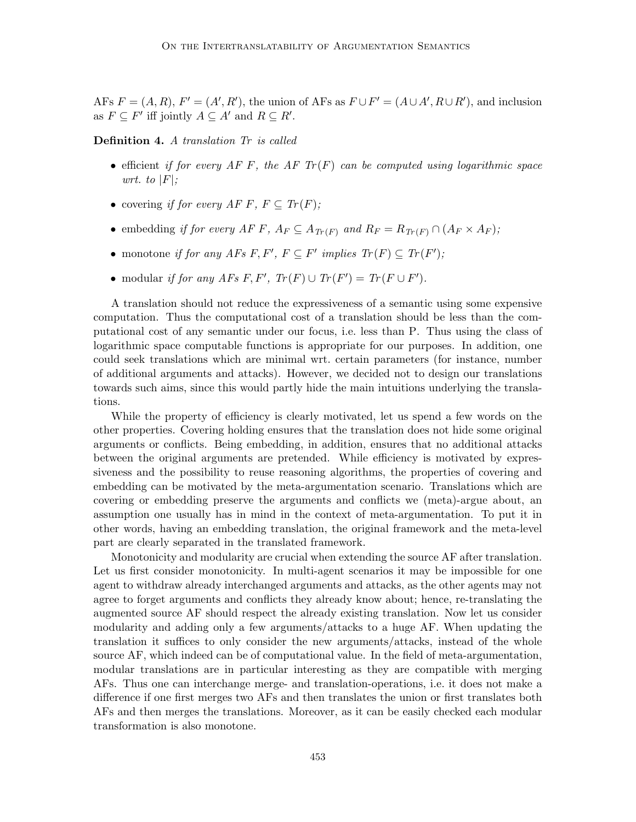AFs  $F = (A, R), F' = (A', R')$ , the union of AFs as  $F \cup F' = (A \cup A', R \cup R')$ , and inclusion as  $F \subseteq F'$  iff jointly  $A \subseteq A'$  and  $R \subseteq R'$ .

Definition 4. *A translation Tr is called*

- efficient *if for every AF F, the AF Tr(F)* can be computed using logarithmic space *wrt.* to  $|F|$ *:*
- covering *if for every AF F, F*  $\subseteq$  *Tr*(*F*);
- embedding *if for every AF F,*  $A_F \subseteq A_{Tr(F)}$  and  $R_F = R_{Tr(F)} \cap (A_F \times A_F)$ ;
- monotone *if for any AFs*  $F, F', F \subseteq F'$  *implies*  $Tr(F) \subseteq Tr(F')$ ;
- modular *if for any AFs*  $F, F', Tr(F) \cup Tr(F') = Tr(F \cup F')$ .

A translation should not reduce the expressiveness of a semantic using some expensive computation. Thus the computational cost of a translation should be less than the computational cost of any semantic under our focus, i.e. less than P. Thus using the class of logarithmic space computable functions is appropriate for our purposes. In addition, one could seek translations which are minimal wrt. certain parameters (for instance, number of additional arguments and attacks). However, we decided not to design our translations towards such aims, since this would partly hide the main intuitions underlying the translations.

While the property of efficiency is clearly motivated, let us spend a few words on the other properties. Covering holding ensures that the translation does not hide some original arguments or conflicts. Being embedding, in addition, ensures that no additional attacks between the original arguments are pretended. While efficiency is motivated by expressiveness and the possibility to reuse reasoning algorithms, the properties of covering and embedding can be motivated by the meta-argumentation scenario. Translations which are covering or embedding preserve the arguments and conflicts we (meta)-argue about, an assumption one usually has in mind in the context of meta-argumentation. To put it in other words, having an embedding translation, the original framework and the meta-level part are clearly separated in the translated framework.

Monotonicity and modularity are crucial when extending the source AF after translation. Let us first consider monotonicity. In multi-agent scenarios it may be impossible for one agent to withdraw already interchanged arguments and attacks, as the other agents may not agree to forget arguments and conflicts they already know about; hence, re-translating the augmented source AF should respect the already existing translation. Now let us consider modularity and adding only a few arguments/attacks to a huge AF. When updating the translation it suffices to only consider the new arguments/attacks, instead of the whole source AF, which indeed can be of computational value. In the field of meta-argumentation, modular translations are in particular interesting as they are compatible with merging AFs. Thus one can interchange merge- and translation-operations, i.e. it does not make a difference if one first merges two AFs and then translates the union or first translates both AFs and then merges the translations. Moreover, as it can be easily checked each modular transformation is also monotone.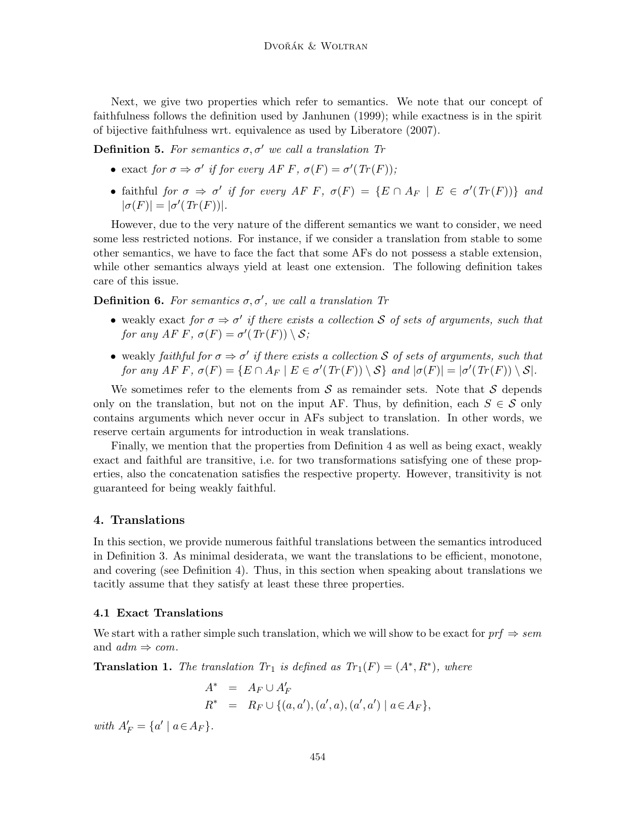Next, we give two properties which refer to semantics. We note that our concept of faithfulness follows the definition used by Janhunen (1999); while exactness is in the spirit of bijective faithfulness wrt. equivalence as used by Liberatore (2007).

**Definition 5.** For semantics  $\sigma$ ,  $\sigma'$  we call a translation Tr

- exact *for*  $\sigma \Rightarrow \sigma'$  *if for every AFF*,  $\sigma(F) = \sigma'(Tr(F))$ ;
- faithful *for*  $\sigma \Rightarrow \sigma'$  *if for every AF F,*  $\sigma(F) = \{E \cap A_F \mid E \in \sigma'(Tr(F))\}$  and  $|\sigma(F)| = |\sigma'(Tr(F))|$ .

However, due to the very nature of the different semantics we want to consider, we need some less restricted notions. For instance, if we consider a translation from stable to some other semantics, we have to face the fact that some AFs do not possess a stable extension, while other semantics always yield at least one extension. The following definition takes care of this issue.

**Definition 6.** For semantics  $\sigma$ ,  $\sigma'$ , we call a translation Tr

- weakly exact *for*  $\sigma \Rightarrow \sigma'$  *if there exists a collection* S *of sets of arguments, such that for any AF F*,  $\sigma(F) = \sigma'(Tr(F)) \setminus S$ ;
- weakly *faithful for*  $\sigma \Rightarrow \sigma'$  *if there exists a collection* S *of sets of arguments, such that for any AF F*,  $\sigma(F) = \{ E \cap A_F \mid E \in \sigma'(Tr(F)) \setminus S \}$  *and*  $|\sigma(F)| = |\sigma'(Tr(F)) \setminus S|$ *.*

We sometimes refer to the elements from  $\mathcal S$  as remainder sets. Note that  $\mathcal S$  depends only on the translation, but not on the input AF. Thus, by definition, each  $S \in \mathcal{S}$  only contains arguments which never occur in AFs subject to translation. In other words, we reserve certain arguments for introduction in weak translations.

Finally, we mention that the properties from Definition 4 as well as being exact, weakly exact and faithful are transitive, i.e. for two transformations satisfying one of these properties, also the concatenation satisfies the respective property. However, transitivity is not guaranteed for being weakly faithful.

## 4. Translations

In this section, we provide numerous faithful translations between the semantics introduced in Definition 3. As minimal desiderata, we want the translations to be efficient, monotone, and covering (see Definition 4). Thus, in this section when speaking about translations we tacitly assume that they satisfy at least these three properties.

#### 4.1 Exact Translations

We start with a rather simple such translation, which we will show to be exact for  $\text{prf} \Rightarrow \text{sem}$ and  $adm \Rightarrow com.$ 

**Translation 1.** The translation  $Tr_1$  is defined as  $Tr_1(F) = (A^*, R^*)$ , where

$$
A^* = A_F \cup A'_F
$$
  

$$
R^* = R_F \cup \{(a, a'), (a', a), (a', a') \mid a \in A_F\},
$$

*with*  $A'_{F} = \{a' \mid a \in A_{F}\}.$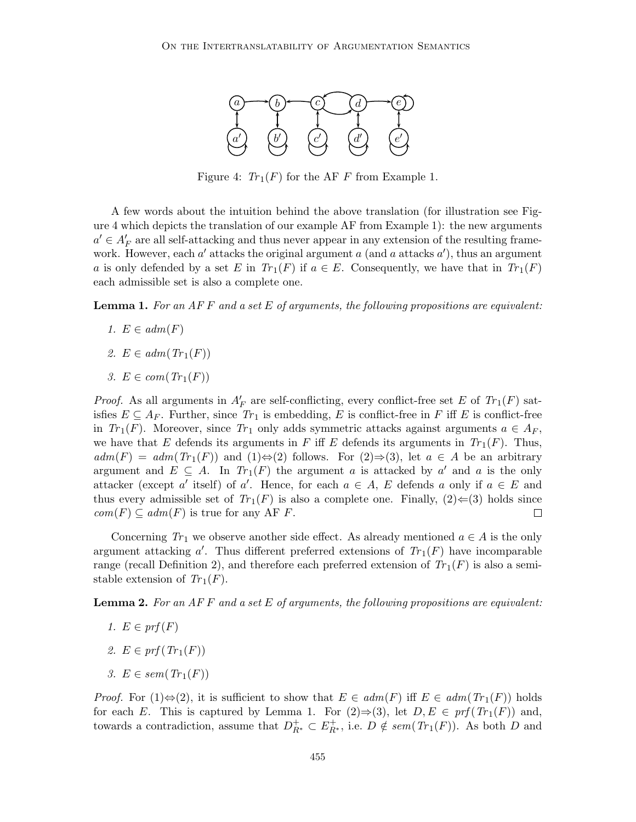

Figure 4:  $Tr_1(F)$  for the AF F from Example 1.

A few words about the intuition behind the above translation (for illustration see Figure 4 which depicts the translation of our example AF from Example 1): the new arguments  $a' \in A'_{F}$  are all self-attacking and thus never appear in any extension of the resulting framework. However, each  $a'$  attacks the original argument  $a$  (and  $a$  attacks  $a'$ ), thus an argument a is only defended by a set E in  $Tr_1(F)$  if  $a \in E$ . Consequently, we have that in  $Tr_1(F)$ each admissible set is also a complete one.

Lemma 1. *For an AF* F *and a set* E *of arguments, the following propositions are equivalent:*

- *1.*  $E \in adm(F)$
- *2.*  $E \in adm(Tr_1(F))$
- *3.*  $E \in com(Tr_1(F))$

*Proof.* As all arguments in  $A'_F$  are self-conflicting, every conflict-free set E of  $Tr_1(F)$  satisfies  $E \subseteq A_F$ . Further, since  $Tr_1$  is embedding, E is conflict-free in F iff E is conflict-free in  $Tr_1(F)$ . Moreover, since  $Tr_1$  only adds symmetric attacks against arguments  $a \in A_F$ , we have that E defends its arguments in F iff E defends its arguments in  $Tr_1(F)$ . Thus,  $adm(F) = adm(Tr_1(F))$  and  $(1) \Leftrightarrow (2)$  follows. For  $(2) \Rightarrow (3)$ , let  $a \in A$  be an arbitrary argument and  $E \subseteq A$ . In  $Tr_1(F)$  the argument a is attacked by a' and a is the only attacker (except a' itself) of a'. Hence, for each  $a \in A$ , E defends a only if  $a \in E$  and thus every admissible set of  $Tr_1(F)$  is also a complete one. Finally,  $(2) \in (3)$  holds since  $com(F) \subseteq adm(F)$  is true for any AF F.  $\Box$ 

Concerning  $Tr_1$  we observe another side effect. As already mentioned  $a \in A$  is the only argument attacking  $a'$ . Thus different preferred extensions of  $Tr_1(F)$  have incomparable range (recall Definition 2), and therefore each preferred extension of  $Tr_{1}(F)$  is also a semistable extension of  $Tr_1(F)$ .

Lemma 2. *For an AF* F *and a set* E *of arguments, the following propositions are equivalent:*

- 1.  $E \in prf(F)$
- *2.*  $E \in prf(Tr_1(F))$
- $3. E \in sem(Tr_1(F))$

*Proof.* For  $(1) \Leftrightarrow (2)$ , it is sufficient to show that  $E \in \text{adm}(F)$  iff  $E \in \text{adm}(Tr_1(F))$  holds for each E. This is captured by Lemma 1. For  $(2) \Rightarrow (3)$ , let  $D, E \in prf(Tr_1(F))$  and, towards a contradiction, assume that  $D_{R^*}^+ \subset E_{R^*}^+$ , i.e.  $D \notin sem(Tr_1(F))$ . As both D and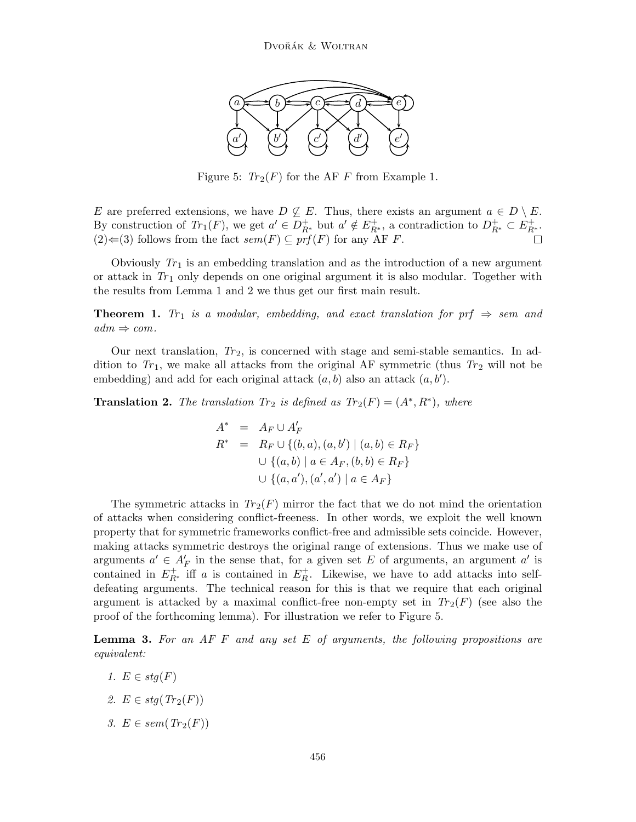

Figure 5:  $Tr_2(F)$  for the AF F from Example 1.

E are preferred extensions, we have  $D \nsubseteq E$ . Thus, there exists an argument  $a \in D \setminus E$ . By construction of  $Tr_1(F)$ , we get  $a' \in D_{R^*}^+$  but  $a' \notin E_{R^*}^+$ , a contradiction to  $D_{R^*}^+ \subset E_{R^*}^+$ . (2)  $\Leftarrow$  (3) follows from the fact *sem*(*F*) ⊆ *prf*(*F*) for any AF *F*.  $\Box$ 

Obviously  $Tr_1$  is an embedding translation and as the introduction of a new argument or attack in  $Tr_1$  only depends on one original argument it is also modular. Together with the results from Lemma 1 and 2 we thus get our first main result.

**Theorem 1.** *Tr*<sub>1</sub> *is a modular, embedding, and exact translation for prf*  $\Rightarrow$  *sem and*  $adm \Rightarrow com.$ 

Our next translation,  $Tr_2$ , is concerned with stage and semi-stable semantics. In addition to  $Tr_1$ , we make all attacks from the original AF symmetric (thus  $Tr_2$  will not be embedding) and add for each original attack  $(a, b)$  also an attack  $(a, b')$ .

**Translation 2.** The translation  $Tr_2$  is defined as  $Tr_2(F) = (A^*, R^*)$ , where

$$
A^* = A_F \cup A'_F
$$
  
\n
$$
R^* = R_F \cup \{(b, a), (a, b') \mid (a, b) \in R_F\}
$$
  
\n
$$
\cup \{(a, b) \mid a \in A_F, (b, b) \in R_F\}
$$
  
\n
$$
\cup \{(a, a'), (a', a') \mid a \in A_F\}
$$

The symmetric attacks in  $Tr_2(F)$  mirror the fact that we do not mind the orientation of attacks when considering conflict-freeness. In other words, we exploit the well known property that for symmetric frameworks conflict-free and admissible sets coincide. However, making attacks symmetric destroys the original range of extensions. Thus we make use of arguments  $a' \in A'_{F}$  in the sense that, for a given set E of arguments, an argument  $a'$  is contained in  $E_{R^*}^+$  iff a is contained in  $E_R^+$ . Likewise, we have to add attacks into selfdefeating arguments. The technical reason for this is that we require that each original argument is attacked by a maximal conflict-free non-empty set in  $Tr_2(F)$  (see also the proof of the forthcoming lemma). For illustration we refer to Figure 5.

Lemma 3. *For an AF* F *and any set* E *of arguments, the following propositions are equivalent:*

- *1.*  $E \in stq(F)$
- 2.  $E \in stq(Tr_2(F))$
- 3.  $E \in sem(Tr_2(F))$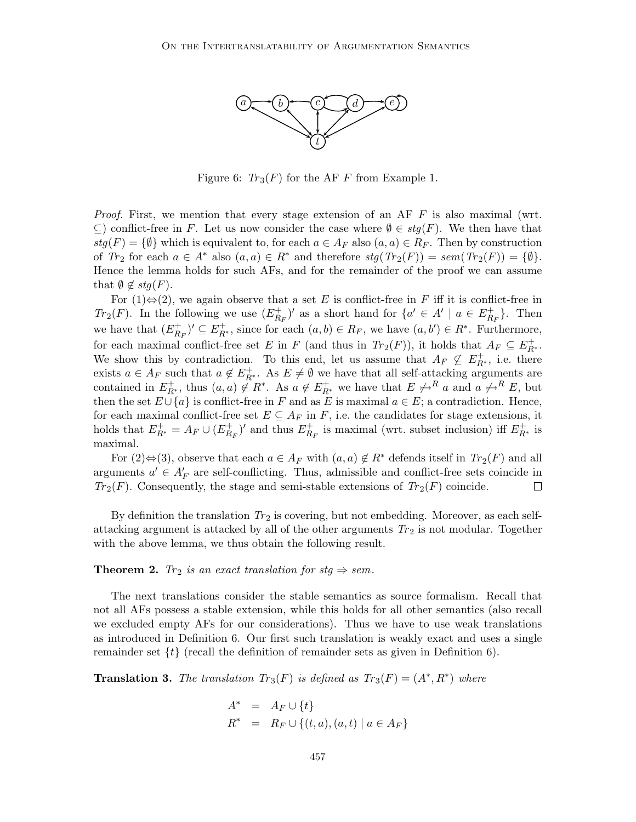

Figure 6:  $Tr_3(F)$  for the AF F from Example 1.

*Proof.* First, we mention that every stage extension of an AF F is also maximal (wrt.  $\subseteq$ ) conflict-free in F. Let us now consider the case where  $\emptyset \in stq(F)$ . We then have that  $stg(F) = \{\emptyset\}$  which is equivalent to, for each  $a \in A_F$  also  $(a, a) \in R_F$ . Then by construction of  $Tr_2$  for each  $a \in A^*$  also  $(a, a) \in R^*$  and therefore  $stg(Tr_2(F)) = sem(Tr_2(F)) = \{\emptyset\}.$ Hence the lemma holds for such AFs, and for the remainder of the proof we can assume that  $\emptyset \notin stg(F)$ .

For  $(1) \Leftrightarrow (2)$ , we again observe that a set E is conflict-free in F iff it is conflict-free in *Tr*<sub>2</sub>(*F*). In the following we use  $(E_{R_F}^+)'$  as a short hand for  $\{a' \in A' \mid a \in E_{R_F}^+\}$ . Then we have that  $(E_{R_F}^+)' \subseteq E_{R^*}^+$ , since for each  $(a, b) \in R_F$ , we have  $(a, b') \in R^*$ . Furthermore, for each maximal conflict-free set E in F (and thus in  $Tr_2(F)$ ), it holds that  $A_F \subseteq E^+_{R^*}$ . We show this by contradiction. To this end, let us assume that  $A_F \nsubseteq E^+_{R^*}$ , i.e. there exists  $a \in A_F$  such that  $a \notin E^+_{R^*}$ . As  $E \neq \emptyset$  we have that all self-attacking arguments are contained in  $E_{R^*}^+$ , thus  $(a, a) \notin R^*$ . As  $a \notin E_{R^*}^+$  we have that  $E \not\rightarrow^R a$  and  $a \not\rightarrow^R E$ , but then the set  $E \cup \{a\}$  is conflict-free in F and as E is maximal  $a \in E$ ; a contradiction. Hence, for each maximal conflict-free set  $E \subseteq A_F$  in F, i.e. the candidates for stage extensions, it holds that  $E_{R^*}^+ = A_F \cup (E_{R_F}^+)'$  and thus  $E_{R_F}^+$  is maximal (wrt. subset inclusion) iff  $E_{R^*}^+$  is maximal.

For  $(2) \Leftrightarrow (3)$ , observe that each  $a \in A_F$  with  $(a, a) \notin R^*$  defends itself in  $Tr_2(F)$  and all arguments  $a' \in A'_{F}$  are self-conflicting. Thus, admissible and conflict-free sets coincide in  $Tr_2(F)$ . Consequently, the stage and semi-stable extensions of  $Tr_2(F)$  coincide.  $\Box$ 

By definition the translation  $Tr_2$  is covering, but not embedding. Moreover, as each selfattacking argument is attacked by all of the other arguments  $Tr_2$  is not modular. Together with the above lemma, we thus obtain the following result.

## **Theorem 2.** *Tr*<sub>2</sub> *is an exact translation for stg*  $\Rightarrow$  *sem.*

The next translations consider the stable semantics as source formalism. Recall that not all AFs possess a stable extension, while this holds for all other semantics (also recall we excluded empty AFs for our considerations). Thus we have to use weak translations as introduced in Definition 6. Our first such translation is weakly exact and uses a single remainder set  $\{t\}$  (recall the definition of remainder sets as given in Definition 6).

**Translation 3.** The translation  $Tr_3(F)$  is defined as  $Tr_3(F) = (A^*, R^*)$  where

$$
A^* = A_F \cup \{t\}
$$
  

$$
R^* = R_F \cup \{(t, a), (a, t) \mid a \in A_F\}
$$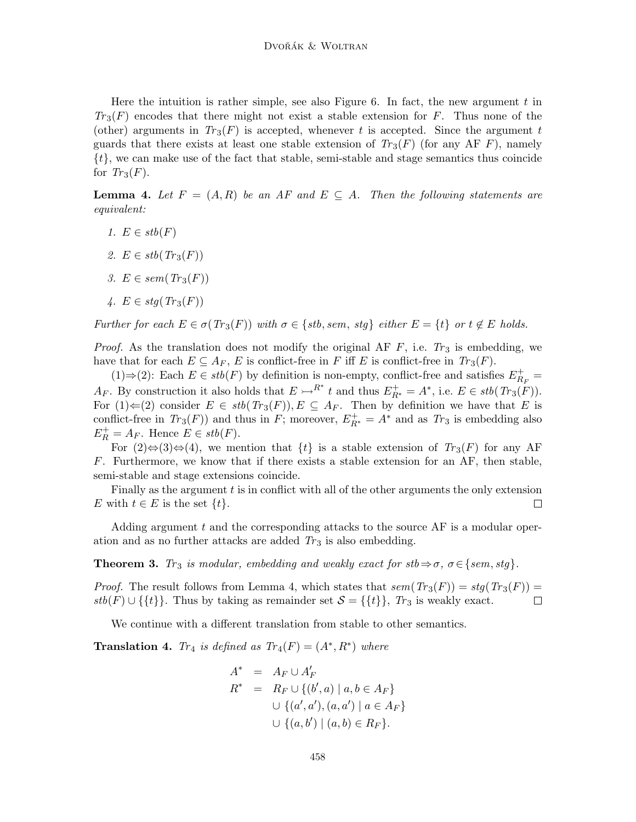Here the intuition is rather simple, see also Figure 6. In fact, the new argument  $t$  in  $Tr_3(F)$  encodes that there might not exist a stable extension for  $F$ . Thus none of the (other) arguments in  $Tr_3(F)$  is accepted, whenever t is accepted. Since the argument t guards that there exists at least one stable extension of  $Tr_3(F)$  (for any AF F), namely  $\{t\}$ , we can make use of the fact that stable, semi-stable and stage semantics thus coincide for  $Tr_3(F)$ .

**Lemma 4.** Let  $F = (A, R)$  be an AF and  $E \subseteq A$ . Then the following statements are *equivalent:*

- *1.*  $E \in stb(F)$
- 2.  $E \in stb(Tr_3(F))$
- *3.*  $E \in sem(Tr_3(F))$

$$
\mathcal{A}.\ \ E \in stg(\text{Tr}_3(F))
$$

*Further for each*  $E \in \sigma(Tr_3(F))$  *with*  $\sigma \in \{stb, sem, stg\}$  *either*  $E = \{t\}$  *or*  $t \notin E$  *holds.* 

*Proof.* As the translation does not modify the original AF  $F$ , i.e.  $Tr_3$  is embedding, we have that for each  $E \subseteq A_F$ , E is conflict-free in F iff E is conflict-free in  $Tr_3(F)$ .

(1)⇒(2): Each  $E \in stb(F)$  by definition is non-empty, conflict-free and satisfies  $E_{R_F}^+$  =  $A_F$ . By construction it also holds that  $E \rightarrow R^*$  t and thus  $E_{R^*}^+ = A^*$ , i.e.  $E \in stb(Tr_3(F))$ . For  $(1) \Leftarrow (2)$  consider  $E \in stb(Tr_3(F)), E \subseteq A_F$ . Then by definition we have that E is conflict-free in  $Tr_3(F)$  and thus in F; moreover,  $E_{R^*}^+ = A^*$  and as  $Tr_3$  is embedding also  $E_R^+ = A_F$ . Hence  $E \in stb(F)$ .

For  $(2) \Leftrightarrow (3) \Leftrightarrow (4)$ , we mention that  $\{t\}$  is a stable extension of  $Tr_3(F)$  for any AF F. Furthermore, we know that if there exists a stable extension for an AF, then stable, semi-stable and stage extensions coincide.

Finally as the argument  $t$  is in conflict with all of the other arguments the only extension E with  $t \in E$  is the set  $\{t\}.$  $\Box$ 

Adding argument  $t$  and the corresponding attacks to the source  $AF$  is a modular operation and as no further attacks are added  $Tr_3$  is also embedding.

**Theorem 3.** *Tr*<sub>3</sub> *is modular, embedding and weakly exact for*  $stb \Rightarrow \sigma$ *,*  $\sigma \in \{sem, stg\}.$ 

*Proof.* The result follows from Lemma 4, which states that  $sem(Tr_3(F)) = stg(Tr_3(F)) =$  $stb(F) \cup \{\{t\}\}\.$  Thus by taking as remainder set  $S = \{\{t\}\}\.$  *Tr*<sub>3</sub> is weakly exact.  $\Box$ 

We continue with a different translation from stable to other semantics.

**Translation 4.** *Tr*<sub>4</sub> *is defined as*  $Tr_4(F) = (A^*, R^*)$  *where* 

$$
A^* = A_F \cup A'_F
$$
  
\n
$$
R^* = R_F \cup \{(b', a) \mid a, b \in A_F\}
$$
  
\n
$$
\cup \{(a', a'), (a, a') \mid a \in A_F\}
$$
  
\n
$$
\cup \{(a, b') \mid (a, b) \in R_F\}.
$$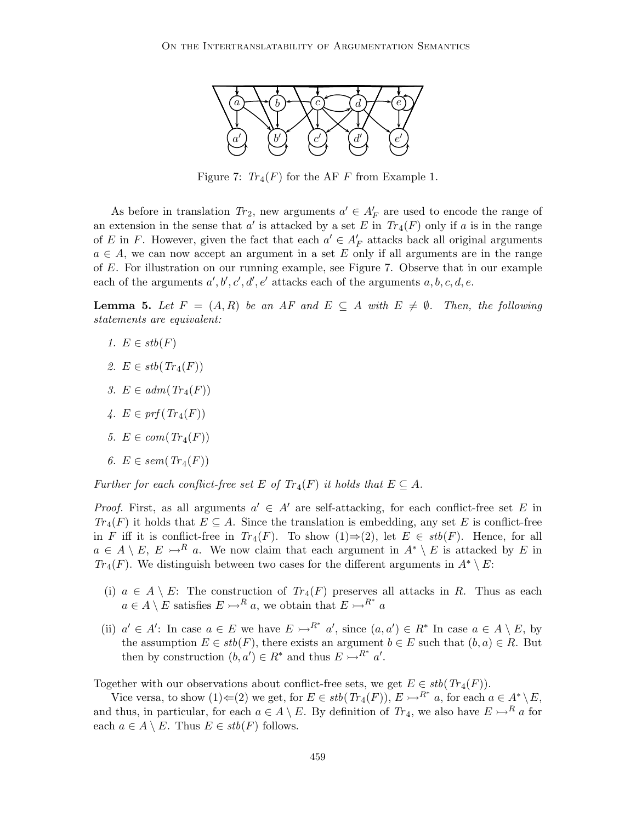

Figure 7:  $Tr_4(F)$  for the AF F from Example 1.

As before in translation  $Tr_2$ , new arguments  $a' \in A'_{F}$  are used to encode the range of an extension in the sense that  $a'$  is attacked by a set E in  $Tr_4(F)$  only if a is in the range of E in F. However, given the fact that each  $a' \in A'_{F}$  attacks back all original arguments  $a \in A$ , we can now accept an argument in a set E only if all arguments are in the range of E. For illustration on our running example, see Figure 7. Observe that in our example each of the arguments  $a', b', c', d', e'$  attacks each of the arguments  $a, b, c, d, e$ .

**Lemma 5.** Let  $F = (A, R)$  be an AF and  $E \subseteq A$  with  $E \neq \emptyset$ . Then, the following *statements are equivalent:*

- 1.  $E \in stb(F)$
- 2.  $E \in stb(Tr_4(F))$
- *3.*  $E \in adm(Tr_4(F))$
- $\mu$ *.*  $E \in prf(Tr_4(F))$
- *5.*  $E \in com(Tr_4(F))$
- $6. E \in sem(Tr_4(F))$

*Further for each conflict-free set*  $E$  *of*  $Tr_4(F)$  *it holds that*  $E \subseteq A$ *.* 

*Proof.* First, as all arguments  $a' \in A'$  are self-attacking, for each conflict-free set E in  $Tr_4(F)$  it holds that  $E \subseteq A$ . Since the translation is embedding, any set E is conflict-free in F iff it is conflict-free in  $Tr_4(F)$ . To show  $(1) \Rightarrow (2)$ , let  $E \in stb(F)$ . Hence, for all  $a \in A \setminus E$ ,  $E \rightarrow R$  a. We now claim that each argument in  $A^* \setminus E$  is attacked by E in *Tr*<sub>4</sub>(*F*). We distinguish between two cases for the different arguments in  $A^* \setminus E$ :

- (i)  $a \in A \setminus E$ : The construction of  $Tr_4(F)$  preserves all attacks in R. Thus as each  $a \in A \setminus E$  satisfies  $E \rightarrow R^a$ , we obtain that  $E \rightarrow R^*$  a
- (ii)  $a' \in A'$ : In case  $a \in E$  we have  $E \rightarrow R^*$  a', since  $(a, a') \in R^*$  In case  $a \in A \setminus E$ , by the assumption  $E \in stb(F)$ , there exists an argument  $b \in E$  such that  $(b, a) \in R$ . But then by construction  $(b, a') \in R^*$  and thus  $E \rightarrow R^* a'$ .

Together with our observations about conflict-free sets, we get  $E \in stb(Tr_4(F))$ .

Vice versa, to show  $(1) \leftarrow (2)$  we get, for  $E \in stb(Tr_4(F)), E \rightarrow R^*$  a, for each  $a \in A^* \setminus E$ , and thus, in particular, for each  $a \in A \setminus E$ . By definition of  $Tr_4$ , we also have  $E \rightarrow R_a$  for each  $a \in A \setminus E$ . Thus  $E \in stb(F)$  follows.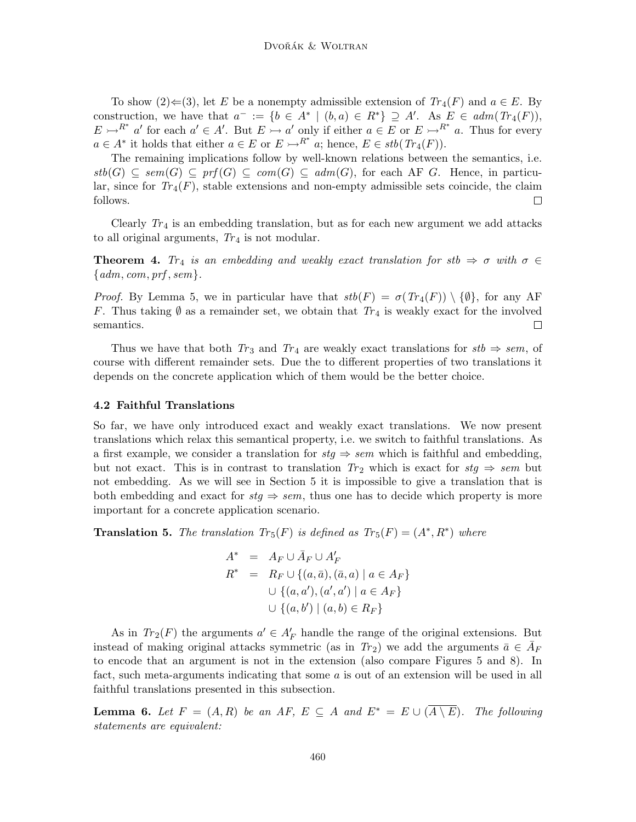To show  $(2) \in (3)$ , let E be a nonempty admissible extension of  $Tr_4(F)$  and  $a \in E$ . By construction, we have that  $a^- := \{b \in A^* \mid (b,a) \in R^*\} \supseteq A'$ . As  $E \in \text{adm}(Tr_4(F)),$  $E \rightarrow R^*$  a' for each  $a' \in A'$ . But  $E \rightarrow a'$  only if either  $a \in E$  or  $E \rightarrow R^*$  a. Thus for every  $a \in A^*$  it holds that either  $a \in E$  or  $E \rightarrow R^*$  a; hence,  $E \in stb(Tr_4(F))$ .

The remaining implications follow by well-known relations between the semantics, i.e.  $stb(G) \subseteq sem(G) \subseteq prf(G) \subseteq com(G) \subseteq adm(G)$ , for each AF G. Hence, in particular, since for  $Tr_4(F)$ , stable extensions and non-empty admissible sets coincide, the claim follows.  $\Box$ 

Clearly  $Tr_4$  is an embedding translation, but as for each new argument we add attacks to all original arguments,  $Tr_4$  is not modular.

**Theorem 4.** *Tr<sub>4</sub> is an embedding and weakly exact translation for stb*  $\Rightarrow \sigma$  *with*  $\sigma \in$ {*adm*, *com*, *prf* , *sem*}*.*

*Proof.* By Lemma 5, we in particular have that  $stb(F) = \sigma(Tr_4(F)) \setminus \{\emptyset\}$ , for any AF F. Thus taking  $\emptyset$  as a remainder set, we obtain that  $Tr_4$  is weakly exact for the involved semantics.  $\Box$ 

Thus we have that both  $Tr_3$  and  $Tr_4$  are weakly exact translations for  $stb \Rightarrow sem$ , of course with different remainder sets. Due the to different properties of two translations it depends on the concrete application which of them would be the better choice.

#### 4.2 Faithful Translations

So far, we have only introduced exact and weakly exact translations. We now present translations which relax this semantical property, i.e. we switch to faithful translations. As a first example, we consider a translation for  $stg \Rightarrow sem$  which is faithful and embedding, but not exact. This is in contrast to translation  $Tr_2$  which is exact for  $sg \Rightarrow sem$  but not embedding. As we will see in Section 5 it is impossible to give a translation that is both embedding and exact for  $stg \Rightarrow sem$ , thus one has to decide which property is more important for a concrete application scenario.

**Translation 5.** The translation  $Tr_5(F)$  is defined as  $Tr_5(F) = (A^*, R^*)$  where

$$
A^* = A_F \cup \bar{A}_F \cup A'_F
$$
  
\n
$$
R^* = R_F \cup \{(a, \bar{a}), (\bar{a}, a) \mid a \in A_F\}
$$
  
\n
$$
\cup \{(a, a'), (a', a') \mid a \in A_F\}
$$
  
\n
$$
\cup \{(a, b') \mid (a, b) \in R_F\}
$$

As in  $Tr_2(F)$  the arguments  $a' \in A'_F$  handle the range of the original extensions. But instead of making original attacks symmetric (as in  $Tr_2$ ) we add the arguments  $\bar{a} \in \bar{A}_F$ to encode that an argument is not in the extension (also compare Figures 5 and 8). In fact, such meta-arguments indicating that some a is out of an extension will be used in all faithful translations presented in this subsection.

**Lemma 6.** Let  $F = (A, R)$  be an AF,  $E \subseteq A$  and  $E^* = E \cup (\overline{A \setminus E})$ . The following *statements are equivalent:*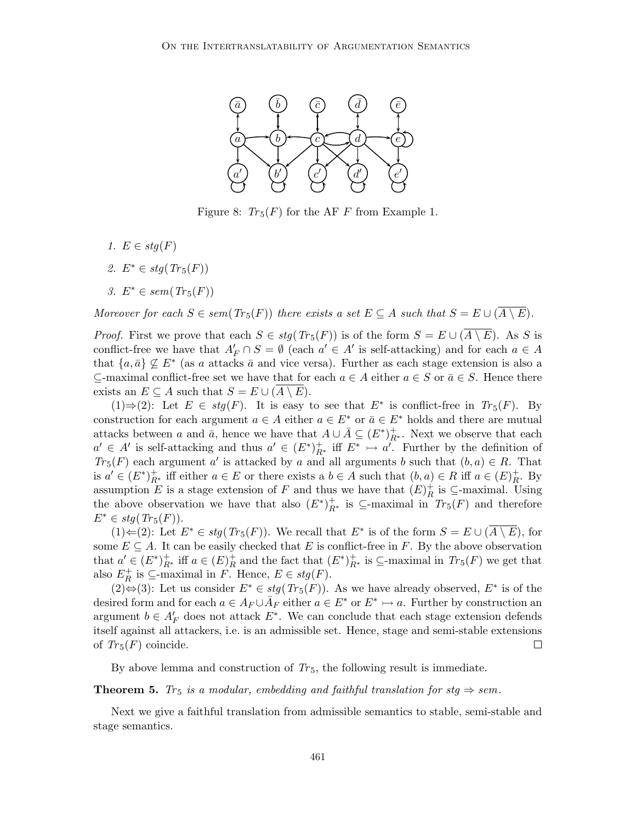

Figure 8:  $Tr_5(F)$  for the AF F from Example 1.

- *1.*  $E \in stq(F)$
- *2.*  $E^* \in stq(Tr_5(F))$
- *3.*  $E^*$  ∈ *sem*( $Tr_5(F)$ )

*Moreover for each*  $S \in sem(Tr_5(F))$  *there exists a set*  $E \subseteq A$  *such that*  $S = E \cup (\overline{A \setminus E})$ *.* 

*Proof.* First we prove that each  $S \in stg(Tr_5(F))$  is of the form  $S = E \cup (A \setminus E)$ . As S is conflict-free we have that  $A'_{F} \cap S = \emptyset$  (each  $a' \in A'$  is self-attacking) and for each  $a \in A$ that  ${a, \bar{a}} \not\subseteq E^*$  (as a attacks  $\bar{a}$  and vice versa). Further as each stage extension is also a ⊆-maximal conflict-free set we have that for each  $a \in A$  either  $a \in S$  or  $\bar{a} \in S$ . Hence there exists an  $E \subseteq A$  such that  $S = E \cup (A \setminus E)$ .

(1)  $\Rightarrow$  (2): Let *E* ∈ *stg*(*F*). It is easy to see that *E*<sup>\*</sup> is conflict-free in *Tr*<sub>5</sub>(*F*). By construction for each argument  $a \in A$  either  $a \in E^*$  or  $\bar{a} \in E^*$  holds and there are mutual attacks between a and  $\bar{a}$ , hence we have that  $A \cup \bar{A} \subseteq (E^*)^+_{R^*}$ . Next we observe that each  $a' \in A'$  is self-attacking and thus  $a' \in (E^*)^+_{R^*}$  iff  $E^* \rightarrow a'$ . Further by the definition of  $Tr_5(F)$  each argument a' is attacked by a and all arguments b such that  $(b, a) \in R$ . That is  $a' \in (E^*)^+_{R^*}$  iff either  $a \in E$  or there exists a  $b \in A$  such that  $(b, a) \in R$  iff  $a \in (E)^+_{R^*}$ . By assumption E is a stage extension of F and thus we have that  $(E)^+_R$  is  $\subseteq$ -maximal. Using the above observation we have that also  $(E^*)^+_{R^*}$  is  $\subseteq$ -maximal in  $Tr_5(F)$  and therefore  $E^* \in stq(Tr_5(F)).$ 

(1)  $\Leftarrow$  (2): Let  $E^* \in stg(Tr_5(F))$ . We recall that  $E^*$  is of the form  $S = E \cup (\overline{A \setminus E})$ , for some  $E \subseteq A$ . It can be easily checked that E is conflict-free in F. By the above observation that  $a' \in (E^*)^+_{R^*}$  iff  $a \in (E)^+_{R}$  and the fact that  $(E^*)^+_{R^*}$  is  $\subseteq$ -maximal in  $Tr_5(F)$  we get that also  $E_R^+$  is  $\subseteq$ -maximal in F. Hence,  $E \in stg(F)$ .

(2) $\Leftrightarrow$  (3): Let us consider  $E^* \in stg(Tr_5(F))$ . As we have already observed,  $E^*$  is of the desired form and for each  $a \in A_F \cup \overline{A}_F$  either  $a \in E^*$  or  $E^* \rightarrow a$ . Further by construction an argument  $b \in A'_{F}$  does not attack  $E^*$ . We can conclude that each stage extension defends itself against all attackers, i.e. is an admissible set. Hence, stage and semi-stable extensions of  $Tr_5(F)$  coincide.  $\Box$ 

By above lemma and construction of  $Tr_5$ , the following result is immediate.

**Theorem 5.** *Tr*<sub>5</sub> *is a modular, embedding and faithful translation for stg*  $\Rightarrow$  *sem.* 

Next we give a faithful translation from admissible semantics to stable, semi-stable and stage semantics.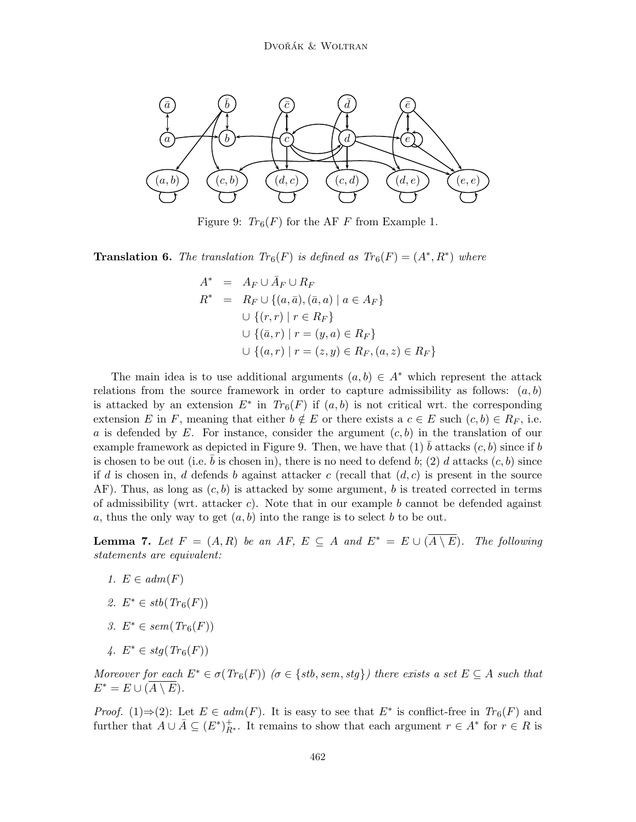

Figure 9:  $Tr_6(F)$  for the AF F from Example 1.

**Translation 6.** The translation  $Tr_6(F)$  is defined as  $Tr_6(F) = (A^*, R^*)$  where

$$
A^* = A_F \cup \bar{A}_F \cup R_F
$$
  
\n
$$
R^* = R_F \cup \{ (a, \bar{a}), (\bar{a}, a) \mid a \in A_F \}
$$
  
\n
$$
\cup \{ (r, r) \mid r \in R_F \}
$$
  
\n
$$
\cup \{ (\bar{a}, r) \mid r = (y, a) \in R_F \}
$$
  
\n
$$
\cup \{ (a, r) \mid r = (z, y) \in R_F, (a, z) \in R_F \}
$$

The main idea is to use additional arguments  $(a, b) \in A^*$  which represent the attack relations from the source framework in order to capture admissibility as follows:  $(a, b)$ is attacked by an extension  $E^*$  in  $Tr_6(F)$  if  $(a, b)$  is not critical wrt. the corresponding extension E in F, meaning that either  $b \notin E$  or there exists a  $c \in E$  such  $(c, b) \in R_F$ , i.e. a is defended by E. For instance, consider the argument  $(c, b)$  in the translation of our example framework as depicted in Figure 9. Then, we have that (1)  $\bar{b}$  attacks  $(c, b)$  since if b is chosen to be out (i.e.  $\bar{b}$  is chosen in), there is no need to defend b; (2) d attacks  $(c, b)$  since if d is chosen in, d defends b against attacker c (recall that  $(d, c)$  is present in the source AF). Thus, as long as  $(c, b)$  is attacked by some argument, b is treated corrected in terms of admissibility (wrt. attacker c). Note that in our example b cannot be defended against a, thus the only way to get  $(a, b)$  into the range is to select b to be out.

**Lemma 7.** Let  $F = (A, R)$  be an AF,  $E \subseteq A$  and  $E^* = E \cup (\overline{A \setminus E})$ . The following *statements are equivalent:*

- *1.*  $E \in adm(F)$
- 2.  $E^* \in stb(Tr_6(F))$
- *3.*  $E^*$  ∈ *sem*( $Tr_6(F)$ )
- *4.*  $E^*$  ∈ *stg*( $Tr_6(F)$ )

*Moreover for each*  $E^* \in \sigma(Tr_6(F))$   $(\sigma \in \{stb, sem, stg\})$  there exists a set  $E \subseteq A$  such that  $E^* = E \cup (A \setminus E)$ .

*Proof.* (1)⇒(2): Let  $E \in adm(F)$ . It is easy to see that  $E^*$  is conflict-free in  $Tr_6(F)$  and further that  $A \cup \overline{A} \subseteq (E^*)^+_{R^*}$ . It remains to show that each argument  $r \in A^*$  for  $r \in R$  is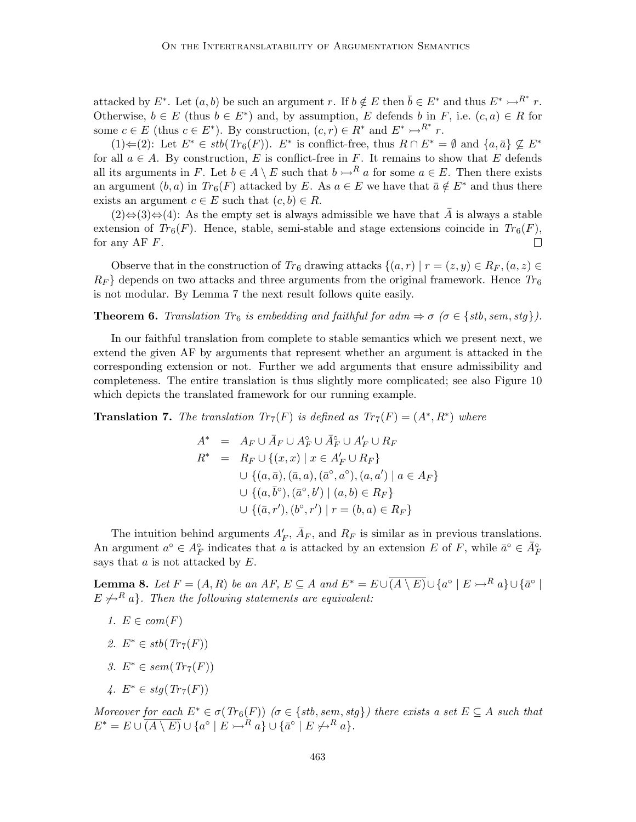attacked by  $E^*$ . Let  $(a, b)$  be such an argument r. If  $b \notin E$  then  $\overline{b} \in E^*$  and thus  $E^* \rightarrow R^*$  r. Otherwise,  $b \in E$  (thus  $b \in E^*$ ) and, by assumption, E defends b in F, i.e.  $(c, a) \in R$  for some  $c \in E$  (thus  $c \in E^*$ ). By construction,  $(c, r) \in R^*$  and  $E^* \rightarrow R^*$  r.

 $(1)$   $\Leftarrow$  (2): Let  $E^*$  ∈ *stb*( $Tr_6(F)$ ).  $E^*$  is conflict-free, thus  $R \cap E^* = \emptyset$  and  $\{a, \bar{a}\}\nsubseteq E^*$ for all  $a \in A$ . By construction, E is conflict-free in F. It remains to show that E defends all its arguments in F. Let  $b \in A \setminus E$  such that  $b \rightarrow^R a$  for some  $a \in E$ . Then there exists an argument  $(b, a)$  in  $Tr_6(F)$  attacked by E. As  $a \in E$  we have that  $\bar{a} \notin E^*$  and thus there exists an argument  $c \in E$  such that  $(c, b) \in R$ .

 $(2) \Leftrightarrow (3) \Leftrightarrow (4)$ : As the empty set is always admissible we have that  $\overline{A}$  is always a stable extension of  $Tr_6(F)$ . Hence, stable, semi-stable and stage extensions coincide in  $Tr_6(F)$ , for any AF  $F$ .  $\Box$ 

Observe that in the construction of  $Tr_6$  drawing attacks  $\{(a, r) | r = (z, y) \in R_F, (a, z) \in$  $R_F$  depends on two attacks and three arguments from the original framework. Hence  $Tr_6$ is not modular. By Lemma 7 the next result follows quite easily.

**Theorem 6.** *Translation Tr*<sub>6</sub> *is embedding and faithful for adm*  $\Rightarrow \sigma$  ( $\sigma \in \{stb, sem, stg\}$ ).

In our faithful translation from complete to stable semantics which we present next, we extend the given AF by arguments that represent whether an argument is attacked in the corresponding extension or not. Further we add arguments that ensure admissibility and completeness. The entire translation is thus slightly more complicated; see also Figure 10 which depicts the translated framework for our running example.

**Translation 7.** The translation  $Tr_7(F)$  is defined as  $Tr_7(F) = (A^*, R^*)$  where

$$
A^* = A_F \cup \bar{A}_F \cup A_F^{\circ} \cup \bar{A}_F^{\circ} \cup A_F' \cup R_F
$$
  
\n
$$
R^* = R_F \cup \{(x, x) \mid x \in A_F' \cup R_F\}
$$
  
\n
$$
\cup \{(a, \bar{a}), (\bar{a}, a), (\bar{a}^{\circ}, a^{\circ}), (a, a') \mid a \in A_F\}
$$
  
\n
$$
\cup \{(a, \bar{b}^{\circ}), (\bar{a}^{\circ}, b') \mid (a, b) \in R_F\}
$$
  
\n
$$
\cup \{(\bar{a}, r'), (b^{\circ}, r') \mid r = (b, a) \in R_F\}
$$

The intuition behind arguments  $A'_F$ ,  $\bar{A}_F$ , and  $R_F$  is similar as in previous translations. An argument  $a^{\circ} \in A_F^{\circ}$  indicates that a is attacked by an extension E of F, while  $\bar{a}^{\circ} \in \bar{A}_F^{\circ}$ says that  $a$  is not attacked by  $E$ .

**Lemma 8.** Let  $F = (A, R)$  be an AF,  $E \subseteq A$  and  $E^* = E \cup \overline{(A \setminus E)} \cup \{a^{\circ} \mid E \rightarrowtail^R a\} \cup \{\bar{a}^{\circ} \mid E \rightarrowtail^R a\}$  $E \nleftrightarrow^R a$ *. Then the following statements are equivalent:* 

- *1.*  $E \in com(F)$
- *2.*  $E^* \in stb(Tr_7(F))$
- *3.*  $E^* \in sem(Tr_7(F))$
- *4.*  $E^* \in stq(Tr_7(F))$

*Moreover for each*  $E^* \in \sigma(Tr_6(F))$   $(\sigma \in \{stb, sem, stg\})$  there exists a set  $E \subseteq A$  such that  $E^* = E \cup \overline{(A \setminus E)} \cup \{a^{\circ} \mid E \rightarrowtail^R a\} \cup \{\bar{a}^{\circ} \mid E \not\rightarrowtail^R a\}.$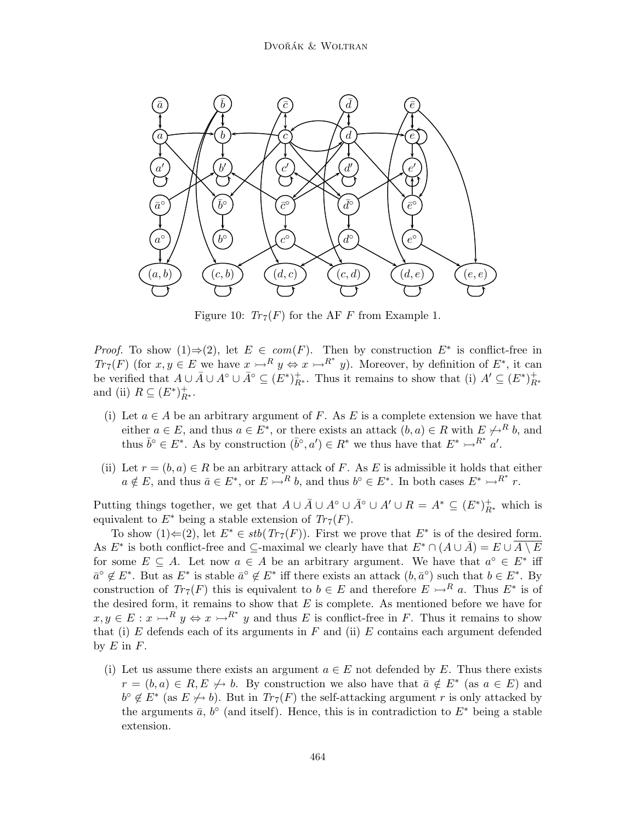

Figure 10:  $Tr_7(F)$  for the AF F from Example 1.

*Proof.* To show  $(1) \Rightarrow (2)$ , let  $E \in com(F)$ . Then by construction  $E^*$  is conflict-free in  $Tr_7(F)$  (for  $x, y \in E$  we have  $x \rightarrow R^* y \Leftrightarrow x \rightarrow R^* y$ ). Moreover, by definition of  $E^*$ , it can be verified that  $A \cup \overline{A} \cup A^{\circ} \cup \overline{A}^{\circ} \subseteq (E^*)^+_{R^*}$ . Thus it remains to show that (i)  $A' \subseteq (E^*)^+_{R^*}$ and (ii)  $R \subseteq (E^*)^+_{R^*}.$ 

- (i) Let  $a \in A$  be an arbitrary argument of F. As E is a complete extension we have that either  $a \in E$ , and thus  $a \in E^*$ , or there exists an attack  $(b, a) \in R$  with  $E \nless B^R b$ , and thus  $\bar{b}^{\circ} \in E^*$ . As by construction  $(\bar{b}^{\circ}, a') \in R^*$  we thus have that  $E^* \rightarrow R^* a'$ .
- (ii) Let  $r = (b, a) \in R$  be an arbitrary attack of F. As E is admissible it holds that either  $a \notin E$ , and thus  $\bar{a} \in E^*$ , or  $E \rightarrow R^* b$ , and thus  $b^{\circ} \in E^*$ . In both cases  $E^* \rightarrow R^* r$ .

Putting things together, we get that  $A \cup \overline{A} \cup A^{\circ} \cup \overline{A}^{\circ} \cup A' \cup R = A^* \subseteq (E^*)^+_{R^*}$  which is equivalent to  $E^*$  being a stable extension of  $Tr_7(F)$ .

To show  $(1) \leftarrow (2)$ , let  $E^* \in stb(Tr_7(F))$ . First we prove that  $E^*$  is of the desired form. As  $E^*$  is both conflict-free and  $\subseteq$ -maximal we clearly have that  $E^* \cap (A \cup \overline{A}) = E \cup \overline{A \setminus E}$ for some  $E \subseteq A$ . Let now  $a \in A$  be an arbitrary argument. We have that  $a^{\circ} \in E^*$  iff  $\bar{a}^{\circ} \notin E^*$ . But as  $E^*$  is stable  $\bar{a}^{\circ} \notin E^*$  iff there exists an attack  $(b, \bar{a}^{\circ})$  such that  $b \in E^*$ . By construction of  $Tr_7(F)$  this is equivalent to  $b \in E$  and therefore  $E \rightarrow R_a$ . Thus  $E^*$  is of the desired form, it remains to show that  $E$  is complete. As mentioned before we have for  $x, y \in E: x \rightarrow R^i y \Leftrightarrow x \rightarrow R^* y$  and thus E is conflict-free in F. Thus it remains to show that (i) E defends each of its arguments in F and (ii) E contains each argument defended by  $E$  in  $F$ .

(i) Let us assume there exists an argument  $a \in E$  not defended by E. Thus there exists  $r = (b, a) \in R, E \nleftrightarrow b$ . By construction we also have that  $\bar{a} \notin E^*$  (as  $a \in E$ ) and  $b^{\circ} \notin E^*$  (as  $E \nleftrightarrow b$ ). But in  $Tr_7(F)$  the self-attacking argument r is only attacked by the arguments  $\bar{a}$ ,  $b^{\circ}$  (and itself). Hence, this is in contradiction to  $E^*$  being a stable extension.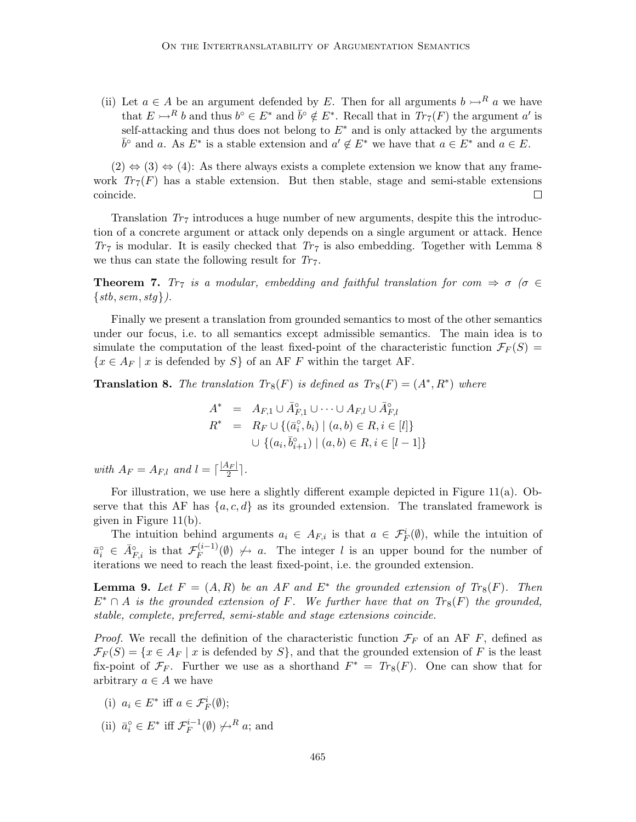(ii) Let  $a \in A$  be an argument defended by E. Then for all arguments  $b \rightarrow^R a$  we have that  $E \rightarrow R b$  and thus  $b^{\circ} \in E^*$  and  $\bar{b}^{\circ} \notin E^*$ . Recall that in  $Tr_{7}(F)$  the argument a' is self-attacking and thus does not belong to  $E^*$  and is only attacked by the arguments  $\bar{b}^{\circ}$  and a. As  $E^*$  is a stable extension and  $a' \notin E^*$  we have that  $a \in E^*$  and  $a \in E$ .

 $(2) \Leftrightarrow (3) \Leftrightarrow (4)$ : As there always exists a complete extension we know that any framework  $Tr_7(F)$  has a stable extension. But then stable, stage and semi-stable extensions coincide.  $\Box$ 

Translation  $Tr_7$  introduces a huge number of new arguments, despite this the introduction of a concrete argument or attack only depends on a single argument or attack. Hence  $Tr_7$  is modular. It is easily checked that  $Tr_7$  is also embedding. Together with Lemma 8 we thus can state the following result for  $Tr_7$ .

**Theorem 7.** *Tr<sub>7</sub> is a modular, embedding and faithful translation for com*  $\Rightarrow \sigma$  ( $\sigma \in$ {*stb*, *sem*, *stg*}*).*

Finally we present a translation from grounded semantics to most of the other semantics under our focus, i.e. to all semantics except admissible semantics. The main idea is to simulate the computation of the least fixed-point of the characteristic function  $\mathcal{F}_F(S)$  =  $\{x \in A_F \mid x \text{ is defined by } S\}$  of an AF F within the target AF.

**Translation 8.** The translation  $Tr_8(F)$  is defined as  $Tr_8(F) = (A^*, R^*)$  where

$$
A^* = A_{F,1} \cup \overline{A}_{F,1}^{\circ} \cup \cdots \cup A_{F,l} \cup \overline{A}_{F,l}^{\circ}
$$
  

$$
R^* = R_F \cup \{ (\overline{a}_i^{\circ}, b_i) \mid (a, b) \in R, i \in [l] \}
$$
  

$$
\cup \{ (a_i, \overline{b}_{i+1}^{\circ}) \mid (a, b) \in R, i \in [l-1] \}
$$

*with*  $A_F = A_{F,l}$  *and*  $l = \lceil \frac{|A_F|}{2} \rceil$  $\frac{1}{2}$ .

For illustration, we use here a slightly different example depicted in Figure 11(a). Observe that this AF has  $\{a, c, d\}$  as its grounded extension. The translated framework is given in Figure 11(b).

The intuition behind arguments  $a_i \in A_{F,i}$  is that  $a \in \mathcal{F}_F^i(\emptyset)$ , while the intuition of  $\bar{a}_i^{\circ} \in \bar{A}_{F,i}^{\circ}$  is that  $\mathcal{F}_F^{(i-1)}$  $F_F^{(l-1)}(\emptyset) \nleftrightarrow a$ . The integer l is an upper bound for the number of iterations we need to reach the least fixed-point, i.e. the grounded extension.

**Lemma 9.** Let  $F = (A, R)$  be an AF and  $E^*$  the grounded extension of  $Tr_8(F)$ . Then  $E^* \cap A$  *is the grounded extension of* F. We further have that on  $Tr_8(F)$  the grounded, *stable, complete, preferred, semi-stable and stage extensions coincide.*

*Proof.* We recall the definition of the characteristic function  $\mathcal{F}_F$  of an AF F, defined as  $\mathcal{F}_F(S) = \{x \in A_F \mid x \text{ is defined by } S\}$ , and that the grounded extension of F is the least fix-point of  $\mathcal{F}_F$ . Further we use as a shorthand  $F^* = Tr_8(F)$ . One can show that for arbitrary  $a \in A$  we have

(i) 
$$
a_i \in E^*
$$
 iff  $a \in \mathcal{F}_F^i(\emptyset)$ ;

(ii)  $\bar{a}_i^{\circ} \in E^*$  iff  $\mathcal{F}_F^{i-1}(\emptyset) \neq R_i$  a; and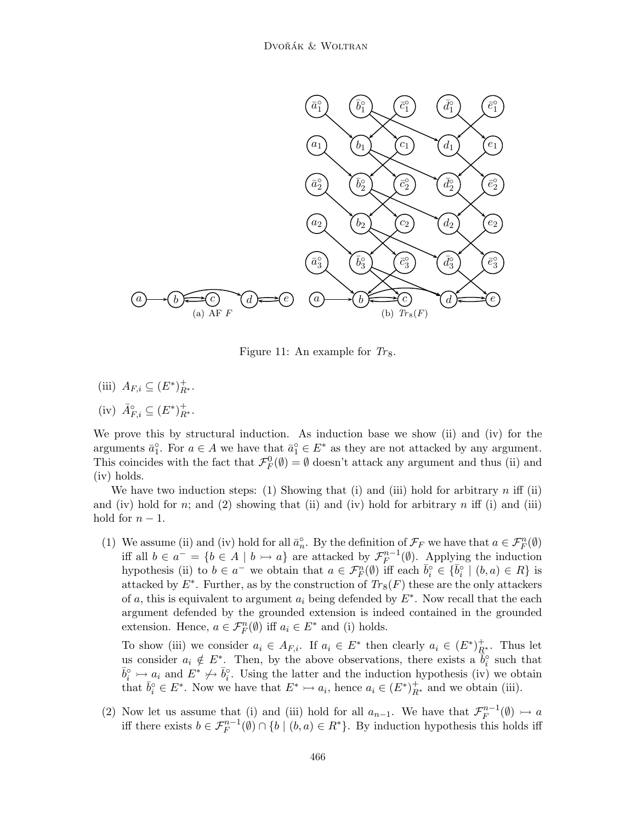

Figure 11: An example for  $T_{8}$ .

(iii)  $A_{F,i} \subseteq (E^*)^+_{R^*}.$ 

(iv) 
$$
\bar{A}_{F,i}^{\circ} \subseteq (E^*)^+_{R^*}.
$$

We prove this by structural induction. As induction base we show (ii) and (iv) for the arguments  $\bar{a}_1^{\circ}$ . For  $a \in A$  we have that  $\bar{a}_1^{\circ} \in E^*$  as they are not attacked by any argument. This coincides with the fact that  $\mathcal{F}_F^0(\emptyset) = \emptyset$  doesn't attack any argument and thus (ii) and (iv) holds.

We have two induction steps: (1) Showing that (i) and (iii) hold for arbitrary  $n$  iff (ii) and (iv) hold for n; and (2) showing that (ii) and (iv) hold for arbitrary n iff (i) and (iii) hold for  $n-1$ .

(1) We assume (ii) and (iv) hold for all  $\bar{a}_n^{\circ}$ . By the definition of  $\mathcal{F}_F$  we have that  $a \in \mathcal{F}_F^n(\emptyset)$ iff all  $b \in a^- = \{b \in A \mid b \rightarrow a\}$  are attacked by  $\mathcal{F}_F^{n-1}(\emptyset)$ . Applying the induction hypothesis (ii) to  $b \in a^-$  we obtain that  $a \in \mathcal{F}_F^n(\emptyset)$  iff each  $\bar{b}_i^{\circ} \in {\{\bar{b}_i}^{\circ} \mid (b,a) \in R\}$  is attacked by  $E^*$ . Further, as by the construction of  $Tr_8(F)$  these are the only attackers of a, this is equivalent to argument  $a_i$  being defended by  $E^*$ . Now recall that the each argument defended by the grounded extension is indeed contained in the grounded extension. Hence,  $a \in \mathcal{F}_F^n(\emptyset)$  iff  $a_i \in E^*$  and (i) holds.

To show (iii) we consider  $a_i \in A_{F,i}$ . If  $a_i \in E^*$  then clearly  $a_i \in (E^*)^+_{R^*}$ . Thus let us consider  $a_i \notin E^*$ . Then, by the above observations, there exists a  $\tilde{b}_i^{\circ}$  such that  $\bar{b}_i^{\circ} \rightarrow a_i$  and  $E^* \not\rightarrow \bar{b}_i^{\circ}$ . Using the latter and the induction hypothesis (iv) we obtain that  $\bar{b}_i^{\circ} \in E^*$ . Now we have that  $E^* \rightarrowtail a_i$ , hence  $a_i \in (E^*)^+_{R^*}$  and we obtain (iii).

(2) Now let us assume that (i) and (iii) hold for all  $a_{n-1}$ . We have that  $\mathcal{F}_F^{n-1}(\emptyset) \rightarrow a$ iff there exists  $b \in \mathcal{F}_F^{n-1}(\emptyset) \cap \{b \mid (b,a) \in R^*\}$ . By induction hypothesis this holds iff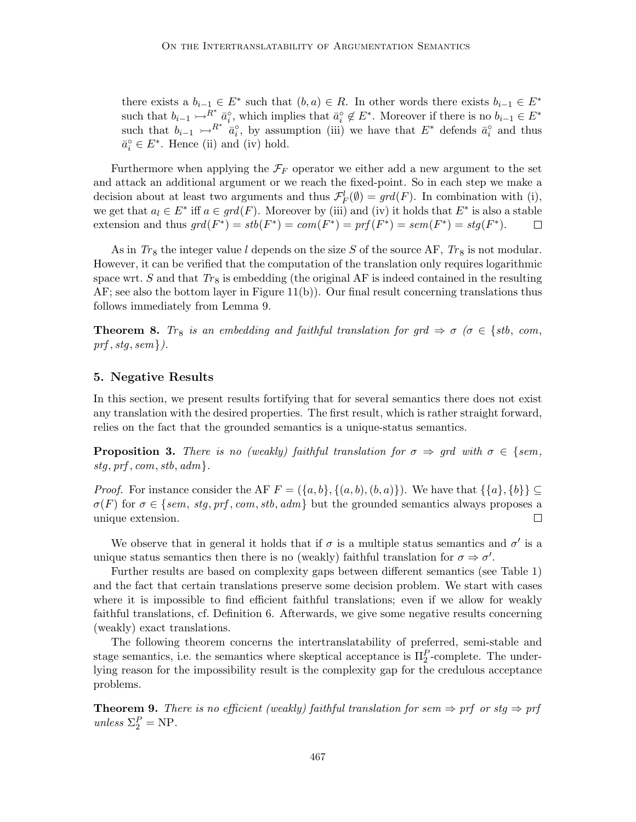there exists a  $b_{i-1} \in E^*$  such that  $(b, a) \in R$ . In other words there exists  $b_{i-1} \in E^*$ such that  $b_{i-1} \rightarrow R^*$   $\bar{a}_i^{\circ}$ , which implies that  $\bar{a}_i^{\circ} \notin E^*$ . Moreover if there is no  $b_{i-1} \in E^*$ such that  $b_{i-1} \rightarrow R^* \stackrel{i}{a_i^o}$ , by assumption (iii) we have that  $E^*$  defends  $\bar{a}_i^o$  and thus  $\bar{a}_i^{\circ} \in E^*$ . Hence (ii) and (iv) hold.

Furthermore when applying the  $\mathcal{F}_F$  operator we either add a new argument to the set and attack an additional argument or we reach the fixed-point. So in each step we make a decision about at least two arguments and thus  $\mathcal{F}_F^l(\emptyset) = \text{grd}(F)$ . In combination with (i), we get that  $a_l \in E^*$  iff  $a \in \text{grd}(F)$ . Moreover by (iii) and (iv) it holds that  $E^*$  is also a stable extension and thus  $grd(F^*) = stb(F^*) = com(F^*) = prf(F^*) = sem(F^*) = stg(F^*)$ .  $\Box$ 

As in  $Tr_8$  the integer value l depends on the size S of the source AF,  $Tr_8$  is not modular. However, it can be verified that the computation of the translation only requires logarithmic space wrt. S and that  $Tr_8$  is embedding (the original AF is indeed contained in the resulting  $AF$ ; see also the bottom layer in Figure 11(b)). Our final result concerning translations thus follows immediately from Lemma 9.

**Theorem 8.** *Tr*<sub>8</sub> *is an embedding and faithful translation for grd*  $\Rightarrow \sigma$  ( $\sigma \in \{stb, com,$ *prf* , *stg*, *sem*}*).*

### 5. Negative Results

In this section, we present results fortifying that for several semantics there does not exist any translation with the desired properties. The first result, which is rather straight forward, relies on the fact that the grounded semantics is a unique-status semantics.

**Proposition 3.** There is no (weakly) faithful translation for  $\sigma \Rightarrow$  grd with  $\sigma \in \{sem,$  $stg, prf, com, stb, adm$ .

*Proof.* For instance consider the AF  $F = (\{a, b\}, \{(a, b), (b, a)\})$ . We have that  $\{\{a\}, \{b\}\}\subseteq$  $\sigma(F)$  for  $\sigma \in \{sem, stg, prf, com, stb, adm \}$  but the grounded semantics always proposes a unique extension.  $\Box$ 

We observe that in general it holds that if  $\sigma$  is a multiple status semantics and  $\sigma'$  is a unique status semantics then there is no (weakly) faithful translation for  $\sigma \Rightarrow \sigma'$ .

Further results are based on complexity gaps between different semantics (see Table 1) and the fact that certain translations preserve some decision problem. We start with cases where it is impossible to find efficient faithful translations; even if we allow for weakly faithful translations, cf. Definition 6. Afterwards, we give some negative results concerning (weakly) exact translations.

The following theorem concerns the intertranslatability of preferred, semi-stable and stage semantics, i.e. the semantics where skeptical acceptance is  $\Pi_2^P$ -complete. The underlying reason for the impossibility result is the complexity gap for the credulous acceptance problems.

**Theorem 9.** There is no efficient (weakly) faithful translation for sem  $\Rightarrow$  prf or stg  $\Rightarrow$  prf  $unless \ \Sigma_2^P = \text{NP}.$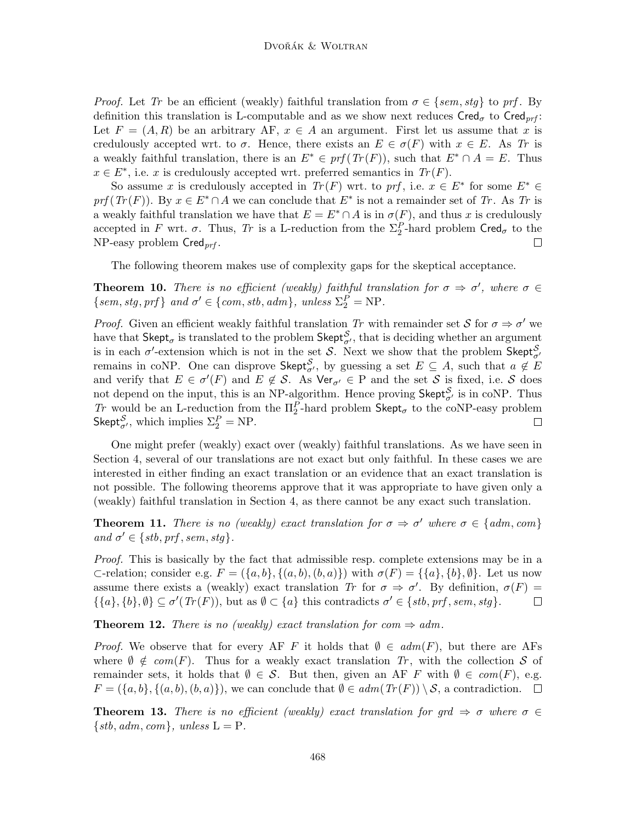*Proof.* Let *Tr* be an efficient (weakly) faithful translation from  $\sigma \in \{sem, stg\}$  to prf. By definition this translation is L-computable and as we show next reduces  $Cred_{\sigma}$  to  $Cred_{\eta r}f$ : Let  $F = (A, R)$  be an arbitrary AF,  $x \in A$  an argument. First let us assume that x is credulously accepted wrt. to  $\sigma$ . Hence, there exists an  $E \in \sigma(F)$  with  $x \in E$ . As Tr is a weakly faithful translation, there is an  $E^* \in prf(Tr(F))$ , such that  $E^* \cap A = E$ . Thus  $x \in E^*$ , i.e. x is credulously accepted wrt. preferred semantics in  $Tr(F)$ .

So assume x is credulously accepted in  $Tr(F)$  wrt. to prf, i.e.  $x \in E^*$  for some  $E^* \in$  $prf(Tr(F))$ . By  $x \in E^* \cap A$  we can conclude that  $E^*$  is not a remainder set of *Tr*. As *Tr* is a weakly faithful translation we have that  $E = E^* \cap A$  is in  $\sigma(F)$ , and thus x is credulously accepted in F wrt.  $\sigma$ . Thus, Tr is a L-reduction from the  $\Sigma_2^P$ -hard problem  $\textsf{Cred}_{\sigma}$  to the  $NP$ -easy problem  $Cred_{prf}$ .  $\Box$ 

The following theorem makes use of complexity gaps for the skeptical acceptance.

**Theorem 10.** *There is no efficient (weakly) faithful translation for*  $\sigma \Rightarrow \sigma'$ , *where*  $\sigma \in$  ${sem, stg, prf }$  *and*  $\sigma' \in {com, stb, adm }$ *, unless*  $\Sigma_2^P = NP$ *.* 

*Proof.* Given an efficient weakly faithful translation Tr with remainder set S for  $\sigma \Rightarrow \sigma'$  we have that  $\mathsf{Skept}_{\sigma}$  is translated to the problem  $\mathsf{Skept}_{\sigma}^{\mathcal{S}}$ , that is deciding whether an argument is in each  $\sigma'$ -extension which is not in the set S. Next we show that the problem Skept $_{\sigma'}^S$ remains in coNP. One can disprove Skept $_{\sigma'}^{\mathcal{S}}$ , by guessing a set  $E \subseteq A$ , such that  $a \notin E$ and verify that  $E \in \sigma'(F)$  and  $E \notin \mathcal{S}$ . As  $\text{Ver}_{\sigma'} \in P$  and the set  $\mathcal{S}$  is fixed, i.e.  $\mathcal{S}$  does not depend on the input, this is an NP-algorithm. Hence proving  $\mathsf{Skept}_{\sigma'}^{\mathcal{S}}$  is in coNP. Thus *Tr* would be an L-reduction from the  $\Pi_2^P$ -hard problem Skept<sub>σ</sub> to the coNP-easy problem Skept $_{\sigma'}^{\mathcal{S}}$ , which implies  $\Sigma_2^P = \text{NP}$ .  $\Box$ 

One might prefer (weakly) exact over (weakly) faithful translations. As we have seen in Section 4, several of our translations are not exact but only faithful. In these cases we are interested in either finding an exact translation or an evidence that an exact translation is not possible. The following theorems approve that it was appropriate to have given only a (weakly) faithful translation in Section 4, as there cannot be any exact such translation.

**Theorem 11.** *There is no (weakly) exact translation for*  $\sigma \Rightarrow \sigma'$  *where*  $\sigma \in \{adm, com\}$  $and \sigma' \in \{stb, prf, sem, stg\}.$ 

*Proof.* This is basically by the fact that admissible resp. complete extensions may be in a  $\subset$ -relation; consider e.g.  $F = (\{a, b\}, \{(a, b), (b, a)\})$  with  $\sigma(F) = \{\{a\}, \{b\}, \emptyset\}$ . Let us now assume there exists a (weakly) exact translation *Tr* for  $\sigma \Rightarrow \sigma'$ . By definition,  $\sigma(F)$  =  $\{\{a\}, \{b\}, \emptyset\} \subseteq \sigma'(Tr(F))$ , but as  $\emptyset \subset \{a\}$  this contradicts  $\sigma' \in \{stb, prf, sem, stg\}$ .  $\Box$ 

**Theorem 12.** *There is no (weakly) exact translation for com*  $\Rightarrow$  *adm.* 

*Proof.* We observe that for every AF F it holds that  $\emptyset \in \text{adm}(F)$ , but there are AFs where  $\emptyset \notin com(F)$ . Thus for a weakly exact translation *Tr*, with the collection S of remainder sets, it holds that  $\emptyset \in \mathcal{S}$ . But then, given an AF F with  $\emptyset \in com(F)$ , e.g.  $F = (\{a, b\}, \{(a, b), (b, a)\})$ , we can conclude that  $\emptyset \in \text{adm}(Tr(F)) \setminus \mathcal{S}$ , a contradiction.  $\square$ 

**Theorem 13.** There is no efficient (weakly) exact translation for grd  $\Rightarrow$   $\sigma$  where  $\sigma \in$  $\{stb, adm, com\}, unless L = P.$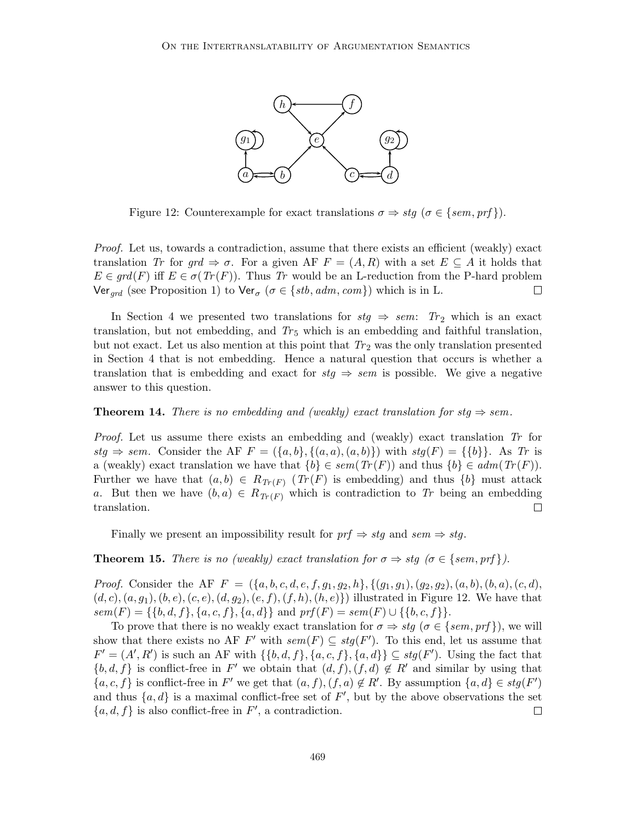

Figure 12: Counterexample for exact translations  $\sigma \Rightarrow stg \ (\sigma \in \{sem, prf\}).$ 

*Proof.* Let us, towards a contradiction, assume that there exists an efficient (weakly) exact translation *Tr* for  $grd \Rightarrow \sigma$ . For a given AF  $F = (A, R)$  with a set  $E \subseteq A$  it holds that  $E \in \text{grd}(F)$  iff  $E \in \sigma(\text{Tr}(F))$ . Thus  $\text{Tr}$  would be an L-reduction from the P-hard problem Ver<sub>ard</sub> (see Proposition 1) to Ver<sub> $\sigma$ </sub> ( $\sigma \in \{stb, \text{adm}, \text{com}\}\)$  which is in L.  $\Box$ 

In Section 4 we presented two translations for  $\textit{stg} \Rightarrow \textit{sem}$ :  $Tr_2$  which is an exact translation, but not embedding, and  $Tr_5$  which is an embedding and faithful translation, but not exact. Let us also mention at this point that  $Tr_2$  was the only translation presented in Section 4 that is not embedding. Hence a natural question that occurs is whether a translation that is embedding and exact for  $\textit{stg} \Rightarrow \textit{sem}$  is possible. We give a negative answer to this question.

#### **Theorem 14.** *There is no embedding and (weakly) exact translation for stg*  $\Rightarrow$  *sem.*

*Proof.* Let us assume there exists an embedding and (weakly) exact translation *Tr* for  $stq \Rightarrow sem.$  Consider the AF  $F = (\{a, b\}, \{(a, a), (a, b)\})$  with  $stq(F) = \{\{b\}\}\)$ . As Tr is a (weakly) exact translation we have that  $\{b\} \in sem(Tr(F))$  and thus  $\{b\} \in adm(Tr(F))$ . Further we have that  $(a, b) \in R_{Tr(F)}$  ( $Tr(F)$  is embedding) and thus  $\{b\}$  must attack a. But then we have  $(b, a) \in R_{Tr(F)}$  which is contradiction to Tr being an embedding translation.  $\Box$ 

Finally we present an impossibility result for  $prf \Rightarrow stg$  and  $sem \Rightarrow stg$ .

**Theorem 15.** *There is no (weakly) exact translation for*  $\sigma \Rightarrow$  *stg* ( $\sigma \in \{sem, prf\}$ ).

*Proof.* Consider the AF  $F = (\{a, b, c, d, e, f, g_1, g_2, h\}, \{(g_1, g_1), (g_2, g_2), (a, b), (b, a), (c, d),$  $(d, c), (a, g_1), (b, e), (c, e), (d, g_2), (e, f), (f, h), (h, e)\})$  illustrated in Figure 12. We have that  $sem(F) = \{\{b, d, f\}, \{a, c, f\}, \{a, d\}\}$  and  $prf(F) = sem(F) \cup \{\{b, c, f\}\}.$ 

To prove that there is no weakly exact translation for  $\sigma \Rightarrow stg \ (\sigma \in \{sem, prf\})$ , we will show that there exists no AF  $F'$  with  $sem(F) \subseteq stg(F')$ . To this end, let us assume that  $F' = (A', R')$  is such an AF with  $\{\{b, d, f\}, \{a, c, f\}, \{a, d\}\}\subseteq stg(F')$ . Using the fact that  $\{b, d, f\}$  is conflict-free in F' we obtain that  $(d, f), (f, d) \notin R'$  and similar by using that  $\{a, c, f\}$  is conflict-free in F' we get that  $(a, f), (f, a) \notin R'$ . By assumption  $\{a, d\} \in stg(F')$ and thus  $\{a, d\}$  is a maximal conflict-free set of  $F'$ , but by the above observations the set  $\{a, d, f\}$  is also conflict-free in  $F'$ , a contradiction.  $\Box$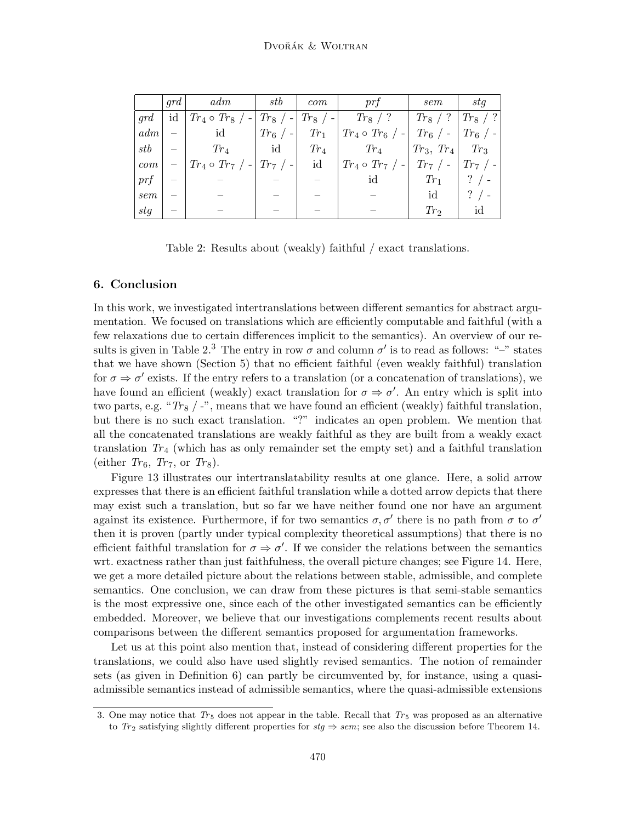|          | qrd | adm                   | stb                        | com        | $\emph{prt}$          | sem                  | stq        |
|----------|-----|-----------------------|----------------------------|------------|-----------------------|----------------------|------------|
| qrd      | id  | $Tr_4 \circ Tr_8 / -$ | $Tr_8$ / - $\blacksquare$  | $Tr_8 / -$ | $Tr_8 / ?$            | $/$ ?<br>$Tr_8$      | $Tr_8$ / ? |
| adm      |     | id                    | $_+$ $Tr_6$ $\,/\,$ - $^+$ | $Tr_1$     | $Tr_4 \circ Tr_6 / -$ | $Tr_6$ / -           | $Tr_6 / -$ |
| $_{stb}$ |     | $Tr_4$                | id                         | $Tr_4$     | $Tr_4$                | $Tr_3, Tr_4$         | $Tr_3$     |
| com      |     | $Tr_4 \circ Tr_7 / -$ | , $Tr_7$ / - $^{\circ}$    | id         | $Tr_4 \circ Tr_7 / -$ | $Tr_7$<br>$\sqrt{2}$ | $Tr_7$ / - |
| prf      |     |                       |                            |            | id                    | $Tr_1$               |            |
| sem      |     |                       |                            |            |                       | id                   |            |
| stg      |     |                       |                            |            |                       | $Tr_2$               | ıd         |

Table 2: Results about (weakly) faithful / exact translations.

#### 6. Conclusion

In this work, we investigated intertranslations between different semantics for abstract argumentation. We focused on translations which are efficiently computable and faithful (with a few relaxations due to certain differences implicit to the semantics). An overview of our results is given in Table 2.<sup>3</sup> The entry in row  $\sigma$  and column  $\sigma'$  is to read as follows: "-" states that we have shown (Section 5) that no efficient faithful (even weakly faithful) translation for  $\sigma \Rightarrow \sigma'$  exists. If the entry refers to a translation (or a concatenation of translations), we have found an efficient (weakly) exact translation for  $\sigma \Rightarrow \sigma'$ . An entry which is split into two parts, e.g. "*Tr<sub>8</sub>* / -", means that we have found an efficient (weakly) faithful translation, but there is no such exact translation. "?" indicates an open problem. We mention that all the concatenated translations are weakly faithful as they are built from a weakly exact translation  $Tr_4$  (which has as only remainder set the empty set) and a faithful translation (either  $Tr_6$ ,  $Tr_7$ , or  $Tr_8$ ).

Figure 13 illustrates our intertranslatability results at one glance. Here, a solid arrow expresses that there is an efficient faithful translation while a dotted arrow depicts that there may exist such a translation, but so far we have neither found one nor have an argument against its existence. Furthermore, if for two semantics  $\sigma, \sigma'$  there is no path from  $\sigma$  to  $\sigma'$ then it is proven (partly under typical complexity theoretical assumptions) that there is no efficient faithful translation for  $\sigma \Rightarrow \sigma'$ . If we consider the relations between the semantics wrt. exactness rather than just faithfulness, the overall picture changes; see Figure 14. Here, we get a more detailed picture about the relations between stable, admissible, and complete semantics. One conclusion, we can draw from these pictures is that semi-stable semantics is the most expressive one, since each of the other investigated semantics can be efficiently embedded. Moreover, we believe that our investigations complements recent results about comparisons between the different semantics proposed for argumentation frameworks.

Let us at this point also mention that, instead of considering different properties for the translations, we could also have used slightly revised semantics. The notion of remainder sets (as given in Definition 6) can partly be circumvented by, for instance, using a quasiadmissible semantics instead of admissible semantics, where the quasi-admissible extensions

<sup>3.</sup> One may notice that  $Tr_5$  does not appear in the table. Recall that  $Tr_5$  was proposed as an alternative to  $Tr_2$  satisfying slightly different properties for  $stq \Rightarrow sem$ ; see also the discussion before Theorem 14.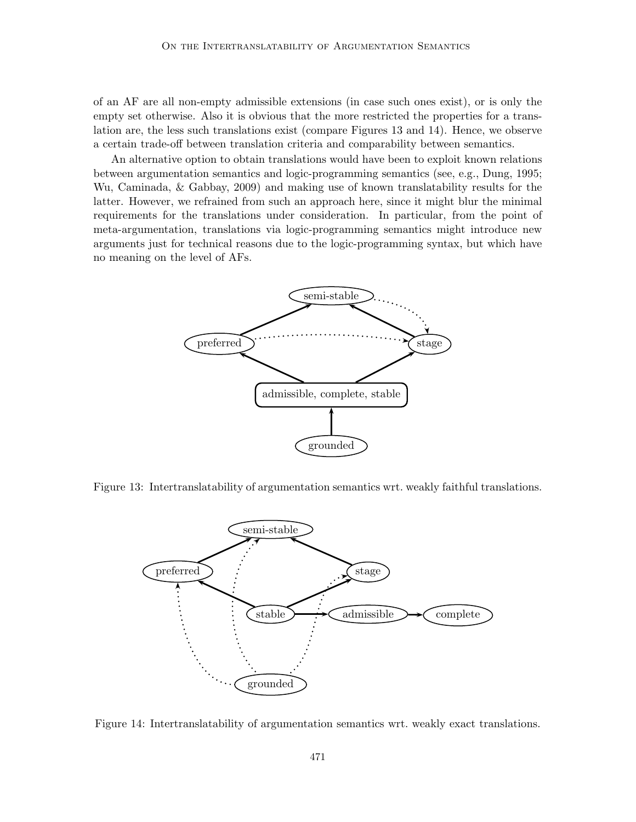of an AF are all non-empty admissible extensions (in case such ones exist), or is only the empty set otherwise. Also it is obvious that the more restricted the properties for a translation are, the less such translations exist (compare Figures 13 and 14). Hence, we observe a certain trade-off between translation criteria and comparability between semantics.

An alternative option to obtain translations would have been to exploit known relations between argumentation semantics and logic-programming semantics (see, e.g., Dung, 1995; Wu, Caminada, & Gabbay, 2009) and making use of known translatability results for the latter. However, we refrained from such an approach here, since it might blur the minimal requirements for the translations under consideration. In particular, from the point of meta-argumentation, translations via logic-programming semantics might introduce new arguments just for technical reasons due to the logic-programming syntax, but which have no meaning on the level of AFs.



Figure 13: Intertranslatability of argumentation semantics wrt. weakly faithful translations.



Figure 14: Intertranslatability of argumentation semantics wrt. weakly exact translations.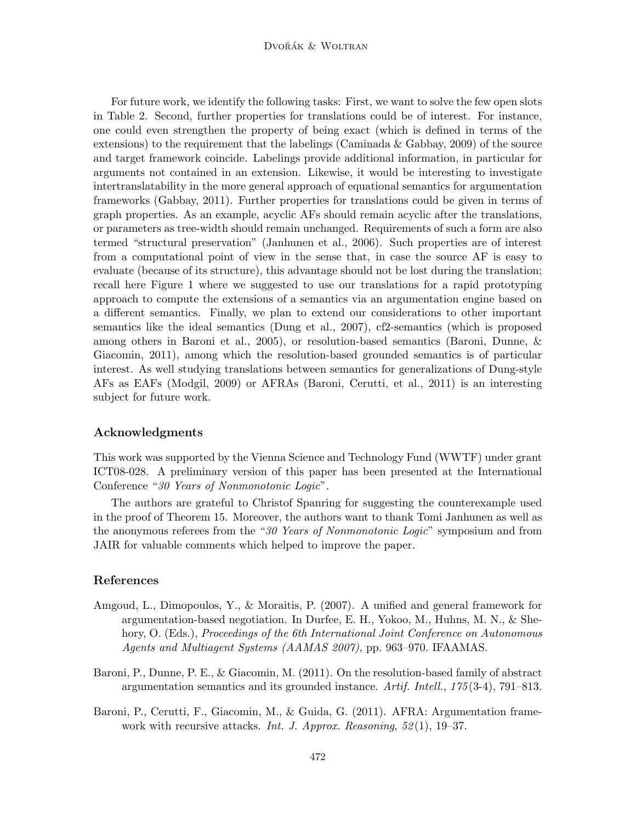#### Dvořák & Woltran

For future work, we identify the following tasks: First, we want to solve the few open slots in Table 2. Second, further properties for translations could be of interest. For instance, one could even strengthen the property of being exact (which is defined in terms of the extensions) to the requirement that the labelings (Caminada  $\&$  Gabbay, 2009) of the source and target framework coincide. Labelings provide additional information, in particular for arguments not contained in an extension. Likewise, it would be interesting to investigate intertranslatability in the more general approach of equational semantics for argumentation frameworks (Gabbay, 2011). Further properties for translations could be given in terms of graph properties. As an example, acyclic AFs should remain acyclic after the translations, or parameters as tree-width should remain unchanged. Requirements of such a form are also termed "structural preservation" (Janhunen et al., 2006). Such properties are of interest from a computational point of view in the sense that, in case the source AF is easy to evaluate (because of its structure), this advantage should not be lost during the translation; recall here Figure 1 where we suggested to use our translations for a rapid prototyping approach to compute the extensions of a semantics via an argumentation engine based on a different semantics. Finally, we plan to extend our considerations to other important semantics like the ideal semantics (Dung et al., 2007), cf2-semantics (which is proposed among others in Baroni et al., 2005), or resolution-based semantics (Baroni, Dunne, & Giacomin, 2011), among which the resolution-based grounded semantics is of particular interest. As well studying translations between semantics for generalizations of Dung-style AFs as EAFs (Modgil, 2009) or AFRAs (Baroni, Cerutti, et al., 2011) is an interesting subject for future work.

#### Acknowledgments

This work was supported by the Vienna Science and Technology Fund (WWTF) under grant ICT08-028. A preliminary version of this paper has been presented at the International Conference "*30 Years of Nonmonotonic Logic*".

The authors are grateful to Christof Spanring for suggesting the counterexample used in the proof of Theorem 15. Moreover, the authors want to thank Tomi Janhunen as well as the anonymous referees from the "*30 Years of Nonmonotonic Logic*" symposium and from JAIR for valuable comments which helped to improve the paper.

### References

- Amgoud, L., Dimopoulos, Y., & Moraitis, P. (2007). A unified and general framework for argumentation-based negotiation. In Durfee, E. H., Yokoo, M., Huhns, M. N., & Shehory, O. (Eds.), *Proceedings of the 6th International Joint Conference on Autonomous Agents and Multiagent Systems (AAMAS 2007)*, pp. 963–970. IFAAMAS.
- Baroni, P., Dunne, P. E., & Giacomin, M. (2011). On the resolution-based family of abstract argumentation semantics and its grounded instance. *Artif. Intell.*, *175* (3-4), 791–813.
- Baroni, P., Cerutti, F., Giacomin, M., & Guida, G. (2011). AFRA: Argumentation framework with recursive attacks. *Int. J. Approx. Reasoning*, *52* (1), 19–37.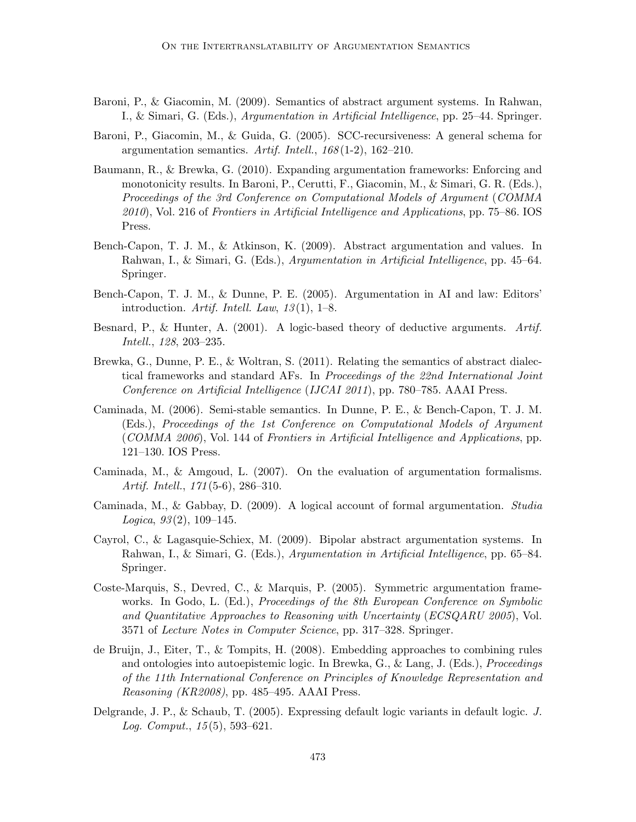- Baroni, P., & Giacomin, M. (2009). Semantics of abstract argument systems. In Rahwan, I., & Simari, G. (Eds.), *Argumentation in Artificial Intelligence*, pp. 25–44. Springer.
- Baroni, P., Giacomin, M., & Guida, G. (2005). SCC-recursiveness: A general schema for argumentation semantics. *Artif. Intell.*, *168* (1-2), 162–210.
- Baumann, R., & Brewka, G. (2010). Expanding argumentation frameworks: Enforcing and monotonicity results. In Baroni, P., Cerutti, F., Giacomin, M., & Simari, G. R. (Eds.), *Proceedings of the 3rd Conference on Computational Models of Argument* (*COMMA 2010*), Vol. 216 of *Frontiers in Artificial Intelligence and Applications*, pp. 75–86. IOS Press.
- Bench-Capon, T. J. M., & Atkinson, K. (2009). Abstract argumentation and values. In Rahwan, I., & Simari, G. (Eds.), *Argumentation in Artificial Intelligence*, pp. 45–64. Springer.
- Bench-Capon, T. J. M., & Dunne, P. E. (2005). Argumentation in AI and law: Editors' introduction. *Artif. Intell. Law*, *13* (1), 1–8.
- Besnard, P., & Hunter, A. (2001). A logic-based theory of deductive arguments. *Artif. Intell.*, *128*, 203–235.
- Brewka, G., Dunne, P. E., & Woltran, S. (2011). Relating the semantics of abstract dialectical frameworks and standard AFs. In *Proceedings of the 22nd International Joint Conference on Artificial Intelligence* (*IJCAI 2011*), pp. 780–785. AAAI Press.
- Caminada, M. (2006). Semi-stable semantics. In Dunne, P. E., & Bench-Capon, T. J. M. (Eds.), *Proceedings of the 1st Conference on Computational Models of Argument* (*COMMA 2006*), Vol. 144 of *Frontiers in Artificial Intelligence and Applications*, pp. 121–130. IOS Press.
- Caminada, M., & Amgoud, L. (2007). On the evaluation of argumentation formalisms. *Artif. Intell.*, *171* (5-6), 286–310.
- Caminada, M., & Gabbay, D. (2009). A logical account of formal argumentation. *Studia Logica*, *93* (2), 109–145.
- Cayrol, C., & Lagasquie-Schiex, M. (2009). Bipolar abstract argumentation systems. In Rahwan, I., & Simari, G. (Eds.), *Argumentation in Artificial Intelligence*, pp. 65–84. Springer.
- Coste-Marquis, S., Devred, C., & Marquis, P. (2005). Symmetric argumentation frameworks. In Godo, L. (Ed.), *Proceedings of the 8th European Conference on Symbolic and Quantitative Approaches to Reasoning with Uncertainty* (*ECSQARU 2005*), Vol. 3571 of *Lecture Notes in Computer Science*, pp. 317–328. Springer.
- de Bruijn, J., Eiter, T., & Tompits, H. (2008). Embedding approaches to combining rules and ontologies into autoepistemic logic. In Brewka, G., & Lang, J. (Eds.), *Proceedings of the 11th International Conference on Principles of Knowledge Representation and Reasoning (KR2008)*, pp. 485–495. AAAI Press.
- Delgrande, J. P., & Schaub, T. (2005). Expressing default logic variants in default logic. *J. Log. Comput.*, *15* (5), 593–621.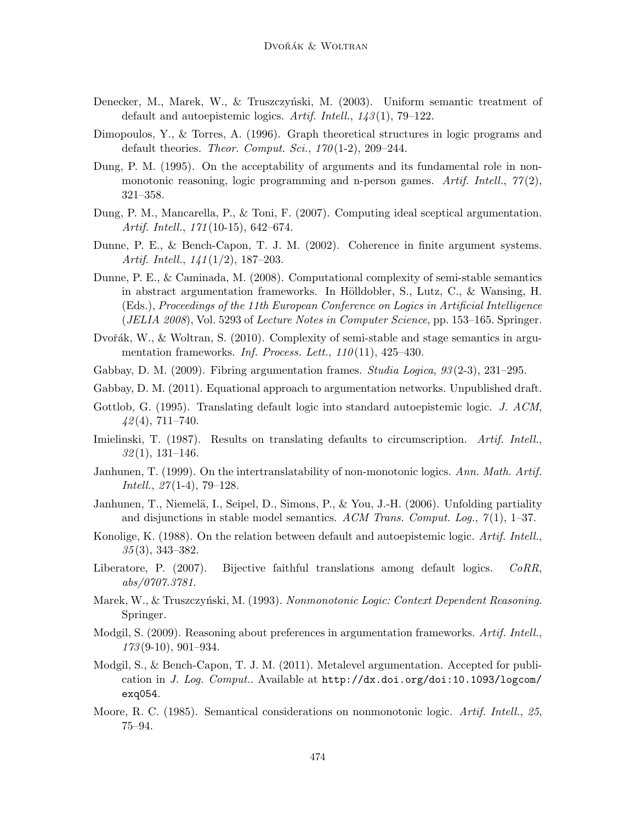- Denecker, M., Marek, W., & Truszczyński, M. (2003). Uniform semantic treatment of default and autoepistemic logics. *Artif. Intell.*, *143* (1), 79–122.
- Dimopoulos, Y., & Torres, A. (1996). Graph theoretical structures in logic programs and default theories. *Theor. Comput. Sci.*, *170* (1-2), 209–244.
- Dung, P. M. (1995). On the acceptability of arguments and its fundamental role in nonmonotonic reasoning, logic programming and n-person games. *Artif. Intell.*, *77* (2), 321–358.
- Dung, P. M., Mancarella, P., & Toni, F. (2007). Computing ideal sceptical argumentation. *Artif. Intell.*, *171* (10-15), 642–674.
- Dunne, P. E., & Bench-Capon, T. J. M. (2002). Coherence in finite argument systems. *Artif. Intell.*, *141* (1/2), 187–203.
- Dunne, P. E., & Caminada, M. (2008). Computational complexity of semi-stable semantics in abstract argumentation frameworks. In Hölldobler, S., Lutz, C., & Wansing, H. (Eds.), *Proceedings of the 11th European Conference on Logics in Artificial Intelligence* (*JELIA 2008*), Vol. 5293 of *Lecture Notes in Computer Science*, pp. 153–165. Springer.
- Dvořák, W., & Woltran, S.  $(2010)$ . Complexity of semi-stable and stage semantics in argumentation frameworks. *Inf. Process. Lett.*, *110* (11), 425–430.
- Gabbay, D. M. (2009). Fibring argumentation frames. *Studia Logica*, *93* (2-3), 231–295.
- Gabbay, D. M. (2011). Equational approach to argumentation networks. Unpublished draft.
- Gottlob, G. (1995). Translating default logic into standard autoepistemic logic. *J. ACM*, *42* (4), 711–740.
- Imielinski, T. (1987). Results on translating defaults to circumscription. *Artif. Intell.*, *32* (1), 131–146.
- Janhunen, T. (1999). On the intertranslatability of non-monotonic logics. *Ann. Math. Artif. Intell.*, *27* (1-4), 79–128.
- Janhunen, T., Niemelä, I., Seipel, D., Simons, P., & You, J.-H. (2006). Unfolding partiality and disjunctions in stable model semantics. *ACM Trans. Comput. Log.*, *7* (1), 1–37.
- Konolige, K. (1988). On the relation between default and autoepistemic logic. *Artif. Intell.*, *35* (3), 343–382.
- Liberatore, P. (2007). Bijective faithful translations among default logics. *CoRR*, *abs/0707.3781*.
- Marek, W., & Truszczyński, M. (1993). *Nonmonotonic Logic: Context Dependent Reasoning*. Springer.
- Modgil, S. (2009). Reasoning about preferences in argumentation frameworks. *Artif. Intell.*, *173* (9-10), 901–934.
- Modgil, S., & Bench-Capon, T. J. M. (2011). Metalevel argumentation. Accepted for publication in *J. Log. Comput.*. Available at http://dx.doi.org/doi:10.1093/logcom/ exq054.
- Moore, R. C. (1985). Semantical considerations on nonmonotonic logic. *Artif. Intell.*, *25*, 75–94.